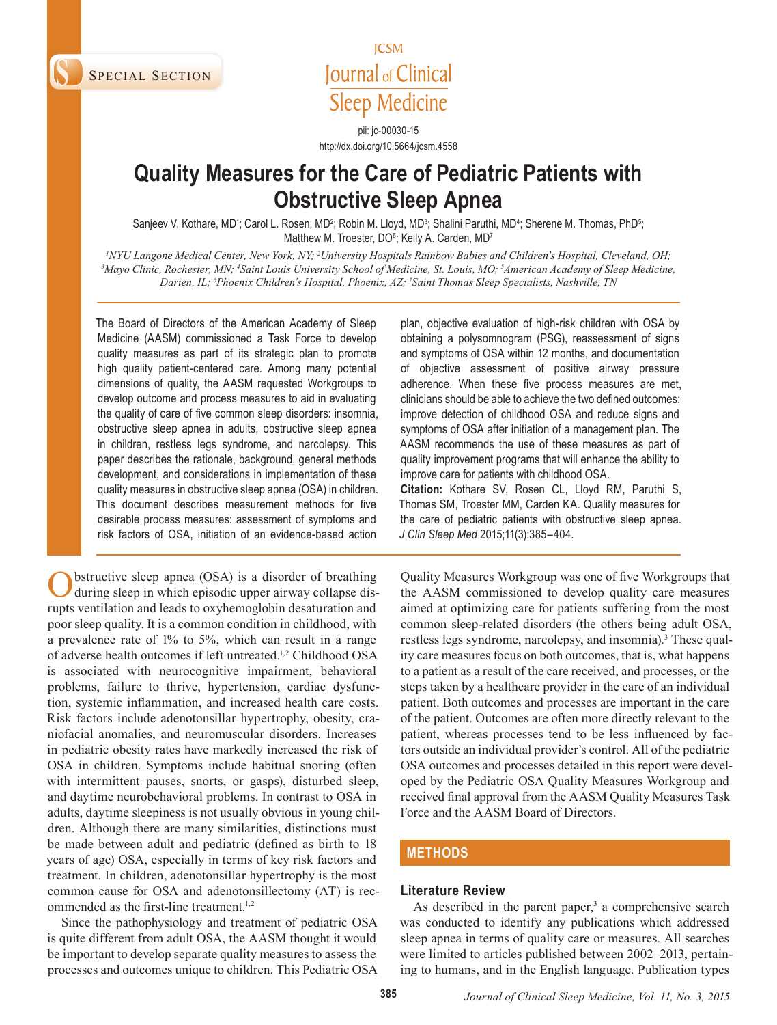SPECIAL SECTION

**ICSM** Journal of Clinical **Sleep Medicine** 

pii: jc-00030-15 http://dx.doi.org/10.5664/jcsm.4558

# **Quality Measures for the Care of Pediatric Patients with Obstructive Sleep Apnea**

Sanjeev V. Kothare, MD<sup>1</sup>; Carol L. Rosen, MD<sup>2</sup>; Robin M. Lloyd, MD<sup>3</sup>; Shalini Paruthi, MD<sup>4</sup>; Sherene M. Thomas, PhD<sup>5</sup>; Matthew M. Troester, DO<sup>6</sup>; Kelly A. Carden, MD<sup>7</sup>

*INYU Langone Medical Center, New York, NY; <sup>2</sup>University Hospitals Rainbow Babies and Children's Hospital, Cleveland, OH;<br><sup>3</sup>Mayo Clinic, Bochester, MN: <sup>4</sup>Saint Louis University School of Medicine, St. Louis, MO: <sup>5</sup>Amer Mayo Clinic, Rochester, MN; 4 Saint Louis University School of Medicine, St. Louis, MO; 5 American Academy of Sleep Medicine, Darien, IL; 6 Phoenix Children's Hospital, Phoenix, AZ; 7 Saint Thomas Sleep Specialists, Nashville, TN*

The Board of Directors of the American Academy of Sleep Medicine (AASM) commissioned a Task Force to develop quality measures as part of its strategic plan to promote high quality patient-centered care. Among many potential dimensions of quality, the AASM requested Workgroups to develop outcome and process measures to aid in evaluating the quality of care of five common sleep disorders: insomnia, obstructive sleep apnea in adults, obstructive sleep apnea in children, restless legs syndrome, and narcolepsy. This paper describes the rationale, background, general methods development, and considerations in implementation of these quality measures in obstructive sleep apnea (OSA) in children. This document describes measurement methods for five desirable process measures: assessment of symptoms and risk factors of OSA, initiation of an evidence-based action

Obstructive sleep apnea (OSA) is a disorder of breathing during sleep in which episodic upper airway collapse disrupts ventilation and leads to oxyhemoglobin desaturation and poor sleep quality. It is a common condition in childhood, with a prevalence rate of 1% to 5%, which can result in a range of adverse health outcomes if left untreated.1,2 Childhood OSA is associated with neurocognitive impairment, behavioral problems, failure to thrive, hypertension, cardiac dysfunction, systemic inflammation, and increased health care costs. Risk factors include adenotonsillar hypertrophy, obesity, craniofacial anomalies, and neuromuscular disorders. Increases in pediatric obesity rates have markedly increased the risk of OSA in children. Symptoms include habitual snoring (often with intermittent pauses, snorts, or gasps), disturbed sleep, and daytime neurobehavioral problems. In contrast to OSA in adults, daytime sleepiness is not usually obvious in young children. Although there are many similarities, distinctions must be made between adult and pediatric (defined as birth to 18 years of age) OSA, especially in terms of key risk factors and treatment. In children, adenotonsillar hypertrophy is the most common cause for OSA and adenotonsillectomy (AT) is recommended as the first-line treatment.<sup>1,2</sup>

Since the pathophysiology and treatment of pediatric OSA is quite different from adult OSA, the AASM thought it would be important to develop separate quality measures to assess the processes and outcomes unique to children. This Pediatric OSA

plan, objective evaluation of high-risk children with OSA by obtaining a polysomnogram (PSG), reassessment of signs and symptoms of OSA within 12 months, and documentation of objective assessment of positive airway pressure adherence. When these five process measures are met, clinicians should be able to achieve the two defined outcomes: improve detection of childhood OSA and reduce signs and symptoms of OSA after initiation of a management plan. The AASM recommends the use of these measures as part of quality improvement programs that will enhance the ability to improve care for patients with childhood OSA. **Citation:** Kothare SV, Rosen CL, Lloyd RM, Paruthi S,

Thomas SM, Troester MM, Carden KA. Quality measures for the care of pediatric patients with obstructive sleep apnea. *J Clin Sleep Med* 2015;11(3):385–404.

Quality Measures Workgroup was one of five Workgroups that the AASM commissioned to develop quality care measures aimed at optimizing care for patients suffering from the most common sleep-related disorders (the others being adult OSA, restless legs syndrome, narcolepsy, and insomnia).<sup>3</sup> These quality care measures focus on both outcomes, that is, what happens to a patient as a result of the care received, and processes, or the steps taken by a healthcare provider in the care of an individual patient. Both outcomes and processes are important in the care of the patient. Outcomes are often more directly relevant to the patient, whereas processes tend to be less influenced by factors outside an individual provider's control. All of the pediatric OSA outcomes and processes detailed in this report were developed by the Pediatric OSA Quality Measures Workgroup and received final approval from the AASM Quality Measures Task Force and the AASM Board of Directors.

## **METHODS**

#### **Literature Review**

As described in the parent paper, $3$  a comprehensive search was conducted to identify any publications which addressed sleep apnea in terms of quality care or measures. All searches were limited to articles published between 2002–2013, pertaining to humans, and in the English language. Publication types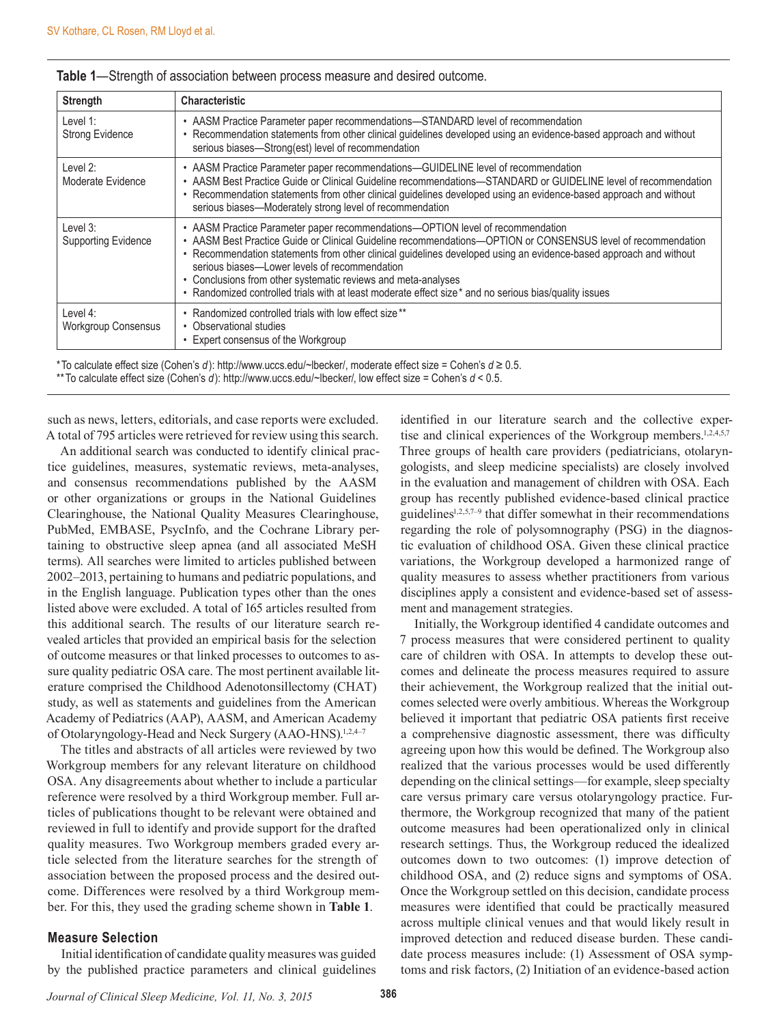| <b>Strength</b>                        | <b>Characteristic</b>                                                                                                                                                                                                                                                                                                                                                                                                                                                                                                                        |
|----------------------------------------|----------------------------------------------------------------------------------------------------------------------------------------------------------------------------------------------------------------------------------------------------------------------------------------------------------------------------------------------------------------------------------------------------------------------------------------------------------------------------------------------------------------------------------------------|
| Level 1:<br><b>Strong Evidence</b>     | • AASM Practice Parameter paper recommendations—STANDARD level of recommendation<br>Recommendation statements from other clinical guidelines developed using an evidence-based approach and without<br>serious biases-Strong(est) level of recommendation                                                                                                                                                                                                                                                                                    |
| Level 2:<br>Moderate Evidence          | • AASM Practice Parameter paper recommendations—GUIDELINE level of recommendation<br>• AASM Best Practice Guide or Clinical Guideline recommendations-STANDARD or GUIDELINE level of recommendation<br>• Recommendation statements from other clinical guidelines developed using an evidence-based approach and without<br>serious biases—Moderately strong level of recommendation                                                                                                                                                         |
| Level 3:<br><b>Supporting Evidence</b> | • AASM Practice Parameter paper recommendations—OPTION level of recommendation<br>• AASM Best Practice Guide or Clinical Guideline recommendations-OPTION or CONSENSUS level of recommendation<br>• Recommendation statements from other clinical guidelines developed using an evidence-based approach and without<br>serious biases-Lower levels of recommendation<br>Conclusions from other systematic reviews and meta-analyses<br>• Randomized controlled trials with at least moderate effect size* and no serious bias/quality issues |
| Level $4:$<br>Workgroup Consensus      | • Randomized controlled trials with low effect size**<br>• Observational studies<br>• Expert consensus of the Workgroup                                                                                                                                                                                                                                                                                                                                                                                                                      |

#### **Table 1**—Strength of association between process measure and desired outcome.

\*To calculate effect size (Cohen's *d*): http://www.uccs.edu/~lbecker/, moderate effect size = Cohen's *d* ≥ 0.5.

\*\*To calculate effect size (Cohen's *d*): http://www.uccs.edu/~lbecker/, low effect size = Cohen's *d* < 0.5.

such as news, letters, editorials, and case reports were excluded. A total of 795 articles were retrieved for review using this search.

An additional search was conducted to identify clinical practice guidelines, measures, systematic reviews, meta-analyses, and consensus recommendations published by the AASM or other organizations or groups in the National Guidelines Clearinghouse, the National Quality Measures Clearinghouse, PubMed, EMBASE, PsycInfo, and the Cochrane Library pertaining to obstructive sleep apnea (and all associated MeSH terms). All searches were limited to articles published between 2002–2013, pertaining to humans and pediatric populations, and in the English language. Publication types other than the ones listed above were excluded. A total of 165 articles resulted from this additional search. The results of our literature search revealed articles that provided an empirical basis for the selection of outcome measures or that linked processes to outcomes to assure quality pediatric OSA care. The most pertinent available literature comprised the Childhood Adenotonsillectomy (CHAT) study, as well as statements and guidelines from the American Academy of Pediatrics (AAP), AASM, and American Academy of Otolaryngology-Head and Neck Surgery (AAO-HNS).<sup>1,2,4–7</sup>

The titles and abstracts of all articles were reviewed by two Workgroup members for any relevant literature on childhood OSA. Any disagreements about whether to include a particular reference were resolved by a third Workgroup member. Full articles of publications thought to be relevant were obtained and reviewed in full to identify and provide support for the drafted quality measures. Two Workgroup members graded every article selected from the literature searches for the strength of association between the proposed process and the desired outcome. Differences were resolved by a third Workgroup member. For this, they used the grading scheme shown in **Table 1**.

## **Measure Selection**

Initial identification of candidate quality measures was guided by the published practice parameters and clinical guidelines

identified in our literature search and the collective expertise and clinical experiences of the Workgroup members.<sup>1,2,4,5,7</sup> Three groups of health care providers (pediatricians, otolaryngologists, and sleep medicine specialists) are closely involved in the evaluation and management of children with OSA. Each group has recently published evidence-based clinical practice guidelines<sup>1,2,5,7-9</sup> that differ somewhat in their recommendations regarding the role of polysomnography (PSG) in the diagnostic evaluation of childhood OSA. Given these clinical practice variations, the Workgroup developed a harmonized range of quality measures to assess whether practitioners from various disciplines apply a consistent and evidence-based set of assessment and management strategies.

Initially, the Workgroup identified 4 candidate outcomes and 7 process measures that were considered pertinent to quality care of children with OSA. In attempts to develop these outcomes and delineate the process measures required to assure their achievement, the Workgroup realized that the initial outcomes selected were overly ambitious. Whereas the Workgroup believed it important that pediatric OSA patients first receive a comprehensive diagnostic assessment, there was difficulty agreeing upon how this would be defined. The Workgroup also realized that the various processes would be used differently depending on the clinical settings—for example, sleep specialty care versus primary care versus otolaryngology practice. Furthermore, the Workgroup recognized that many of the patient outcome measures had been operationalized only in clinical research settings. Thus, the Workgroup reduced the idealized outcomes down to two outcomes: (1) improve detection of childhood OSA, and (2) reduce signs and symptoms of OSA. Once the Workgroup settled on this decision, candidate process measures were identified that could be practically measured across multiple clinical venues and that would likely result in improved detection and reduced disease burden. These candidate process measures include: (1) Assessment of OSA symptoms and risk factors, (2) Initiation of an evidence-based action

*Journal of Clinical Sleep Medicine, Vol. 11, No. 3, 2015* **386**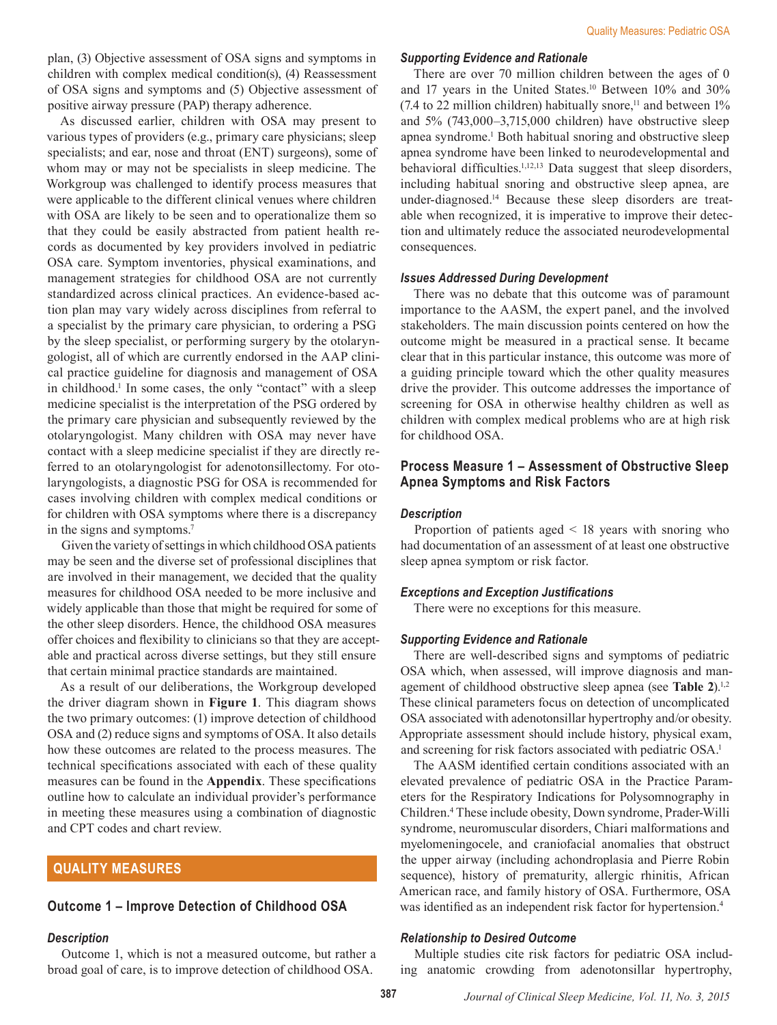plan, (3) Objective assessment of OSA signs and symptoms in children with complex medical condition(s), (4) Reassessment of OSA signs and symptoms and (5) Objective assessment of positive airway pressure (PAP) therapy adherence.

As discussed earlier, children with OSA may present to various types of providers (e.g., primary care physicians; sleep specialists; and ear, nose and throat (ENT) surgeons), some of whom may or may not be specialists in sleep medicine. The Workgroup was challenged to identify process measures that were applicable to the different clinical venues where children with OSA are likely to be seen and to operationalize them so that they could be easily abstracted from patient health records as documented by key providers involved in pediatric OSA care. Symptom inventories, physical examinations, and management strategies for childhood OSA are not currently standardized across clinical practices. An evidence-based action plan may vary widely across disciplines from referral to a specialist by the primary care physician, to ordering a PSG by the sleep specialist, or performing surgery by the otolaryngologist, all of which are currently endorsed in the AAP clinical practice guideline for diagnosis and management of OSA in childhood.<sup>1</sup> In some cases, the only "contact" with a sleep medicine specialist is the interpretation of the PSG ordered by the primary care physician and subsequently reviewed by the otolaryngologist. Many children with OSA may never have contact with a sleep medicine specialist if they are directly referred to an otolaryngologist for adenotonsillectomy. For otolaryngologists, a diagnostic PSG for OSA is recommended for cases involving children with complex medical conditions or for children with OSA symptoms where there is a discrepancy in the signs and symptoms.<sup>7</sup>

Given the variety of settings in which childhood OSA patients may be seen and the diverse set of professional disciplines that are involved in their management, we decided that the quality measures for childhood OSA needed to be more inclusive and widely applicable than those that might be required for some of the other sleep disorders. Hence, the childhood OSA measures offer choices and flexibility to clinicians so that they are acceptable and practical across diverse settings, but they still ensure that certain minimal practice standards are maintained.

As a result of our deliberations, the Workgroup developed the driver diagram shown in **Figure 1**. This diagram shows the two primary outcomes: (1) improve detection of childhood OSA and (2) reduce signs and symptoms of OSA. It also details how these outcomes are related to the process measures. The technical specifications associated with each of these quality measures can be found in the **Appendix**. These specifications outline how to calculate an individual provider's performance in meeting these measures using a combination of diagnostic and CPT codes and chart review.

## **QUALITY MEASURES**

## **Outcome 1 – Improve Detection of Childhood OSA**

## *Description*

Outcome 1, which is not a measured outcome, but rather a broad goal of care, is to improve detection of childhood OSA.

## *Supporting Evidence and Rationale*

There are over 70 million children between the ages of 0 and 17 years in the United States.<sup>10</sup> Between 10% and 30% (7.4 to 22 million children) habitually snore, $11$  and between  $1\%$ and 5% (743,000–3,715,000 children) have obstructive sleep apnea syndrome.<sup>1</sup> Both habitual snoring and obstructive sleep apnea syndrome have been linked to neurodevelopmental and behavioral difficulties.<sup>1,12,13</sup> Data suggest that sleep disorders, including habitual snoring and obstructive sleep apnea, are under-diagnosed.14 Because these sleep disorders are treatable when recognized, it is imperative to improve their detection and ultimately reduce the associated neurodevelopmental consequences.

## *Issues Addressed During Development*

There was no debate that this outcome was of paramount importance to the AASM, the expert panel, and the involved stakeholders. The main discussion points centered on how the outcome might be measured in a practical sense. It became clear that in this particular instance, this outcome was more of a guiding principle toward which the other quality measures drive the provider. This outcome addresses the importance of screening for OSA in otherwise healthy children as well as children with complex medical problems who are at high risk for childhood OSA.

## **Process Measure 1 – Assessment of Obstructive Sleep Apnea Symptoms and Risk Factors**

#### *Description*

Proportion of patients aged < 18 years with snoring who had documentation of an assessment of at least one obstructive sleep apnea symptom or risk factor.

#### *Exceptions and Exception Justifications*

There were no exceptions for this measure.

#### *Supporting Evidence and Rationale*

There are well-described signs and symptoms of pediatric OSA which, when assessed, will improve diagnosis and management of childhood obstructive sleep apnea (see **Table 2**).<sup>1,2</sup> These clinical parameters focus on detection of uncomplicated OSA associated with adenotonsillar hypertrophy and/or obesity. Appropriate assessment should include history, physical exam, and screening for risk factors associated with pediatric OSA.1

The AASM identified certain conditions associated with an elevated prevalence of pediatric OSA in the Practice Parameters for the Respiratory Indications for Polysomnography in Children.4 These include obesity, Down syndrome, Prader-Willi syndrome, neuromuscular disorders, Chiari malformations and myelomeningocele, and craniofacial anomalies that obstruct the upper airway (including achondroplasia and Pierre Robin sequence), history of prematurity, allergic rhinitis, African American race, and family history of OSA. Furthermore, OSA was identified as an independent risk factor for hypertension.<sup>4</sup>

#### *Relationship to Desired Outcome*

Multiple studies cite risk factors for pediatric OSA including anatomic crowding from adenotonsillar hypertrophy,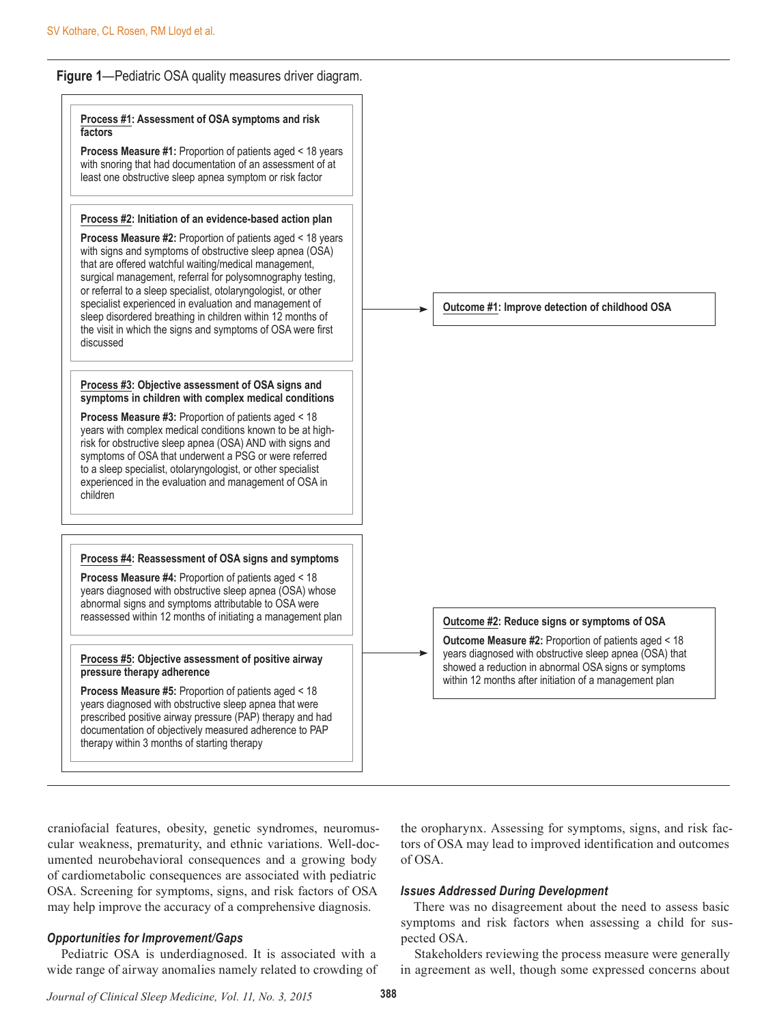## **Figure 1**—Pediatric OSA quality measures driver diagram.



craniofacial features, obesity, genetic syndromes, neuromuscular weakness, prematurity, and ethnic variations. Well-documented neurobehavioral consequences and a growing body of cardiometabolic consequences are associated with pediatric OSA. Screening for symptoms, signs, and risk factors of OSA may help improve the accuracy of a comprehensive diagnosis.

## *Opportunities for Improvement/Gaps*

Pediatric OSA is underdiagnosed. It is associated with a wide range of airway anomalies namely related to crowding of the oropharynx. Assessing for symptoms, signs, and risk factors of OSA may lead to improved identification and outcomes of OSA.

#### *Issues Addressed During Development*

There was no disagreement about the need to assess basic symptoms and risk factors when assessing a child for suspected OSA.

Stakeholders reviewing the process measure were generally in agreement as well, though some expressed concerns about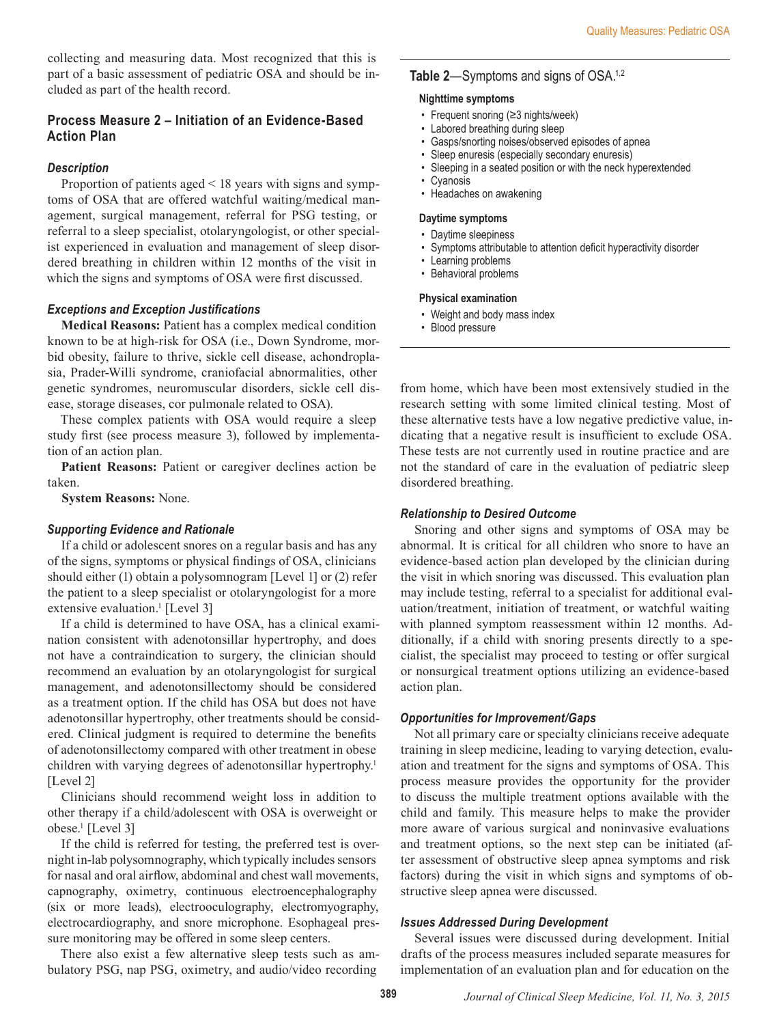collecting and measuring data. Most recognized that this is part of a basic assessment of pediatric OSA and should be included as part of the health record.

## **Process Measure 2 – Initiation of an Evidence-Based Action Plan**

#### *Description*

Proportion of patients aged < 18 years with signs and symptoms of OSA that are offered watchful waiting/medical management, surgical management, referral for PSG testing, or referral to a sleep specialist, otolaryngologist, or other specialist experienced in evaluation and management of sleep disordered breathing in children within 12 months of the visit in which the signs and symptoms of OSA were first discussed.

#### *Exceptions and Exception Justifications*

**Medical Reasons:** Patient has a complex medical condition known to be at high-risk for OSA (i.e., Down Syndrome, morbid obesity, failure to thrive, sickle cell disease, achondroplasia, Prader-Willi syndrome, craniofacial abnormalities, other genetic syndromes, neuromuscular disorders, sickle cell disease, storage diseases, cor pulmonale related to OSA).

These complex patients with OSA would require a sleep study first (see process measure 3), followed by implementation of an action plan.

**Patient Reasons:** Patient or caregiver declines action be taken.

**System Reasons:** None.

#### *Supporting Evidence and Rationale*

If a child or adolescent snores on a regular basis and has any of the signs, symptoms or physical findings of OSA, clinicians should either (1) obtain a polysomnogram [Level 1] or (2) refer the patient to a sleep specialist or otolaryngologist for a more extensive evaluation.<sup>1</sup> [Level 3]

If a child is determined to have OSA, has a clinical examination consistent with adenotonsillar hypertrophy, and does not have a contraindication to surgery, the clinician should recommend an evaluation by an otolaryngologist for surgical management, and adenotonsillectomy should be considered as a treatment option. If the child has OSA but does not have adenotonsillar hypertrophy, other treatments should be considered. Clinical judgment is required to determine the benefits of adenotonsillectomy compared with other treatment in obese children with varying degrees of adenotonsillar hypertrophy.<sup>1</sup> [Level 2]

Clinicians should recommend weight loss in addition to other therapy if a child/adolescent with OSA is overweight or obese.1 [Level 3]

If the child is referred for testing, the preferred test is overnight in-lab polysomnography, which typically includes sensors for nasal and oral airflow, abdominal and chest wall movements, capnography, oximetry, continuous electroencephalography (six or more leads), electrooculography, electromyography, electrocardiography, and snore microphone. Esophageal pressure monitoring may be offered in some sleep centers.

There also exist a few alternative sleep tests such as ambulatory PSG, nap PSG, oximetry, and audio/video recording

### **Table 2**—Symptoms and signs of OSA.1,2

#### **Nighttime symptoms**

- Frequent snoring (≥3 nights/week)
- Labored breathing during sleep
- Gasps/snorting noises/observed episodes of apnea
- Sleep enuresis (especially secondary enuresis)
- Sleeping in a seated position or with the neck hyperextended
- Cyanosis
- Headaches on awakening

#### **Daytime symptoms**

- Daytime sleepiness
- Symptoms attributable to attention deficit hyperactivity disorder
- Learning problems
- Behavioral problems

#### **Physical examination**

- Weight and body mass index
- Blood pressure

from home, which have been most extensively studied in the research setting with some limited clinical testing. Most of these alternative tests have a low negative predictive value, indicating that a negative result is insufficient to exclude OSA. These tests are not currently used in routine practice and are not the standard of care in the evaluation of pediatric sleep disordered breathing.

#### *Relationship to Desired Outcome*

Snoring and other signs and symptoms of OSA may be abnormal. It is critical for all children who snore to have an evidence-based action plan developed by the clinician during the visit in which snoring was discussed. This evaluation plan may include testing, referral to a specialist for additional evaluation/treatment, initiation of treatment, or watchful waiting with planned symptom reassessment within 12 months. Additionally, if a child with snoring presents directly to a specialist, the specialist may proceed to testing or offer surgical or nonsurgical treatment options utilizing an evidence-based action plan.

#### *Opportunities for Improvement/Gaps*

Not all primary care or specialty clinicians receive adequate training in sleep medicine, leading to varying detection, evaluation and treatment for the signs and symptoms of OSA. This process measure provides the opportunity for the provider to discuss the multiple treatment options available with the child and family. This measure helps to make the provider more aware of various surgical and noninvasive evaluations and treatment options, so the next step can be initiated (after assessment of obstructive sleep apnea symptoms and risk factors) during the visit in which signs and symptoms of obstructive sleep apnea were discussed.

#### *Issues Addressed During Development*

Several issues were discussed during development. Initial drafts of the process measures included separate measures for implementation of an evaluation plan and for education on the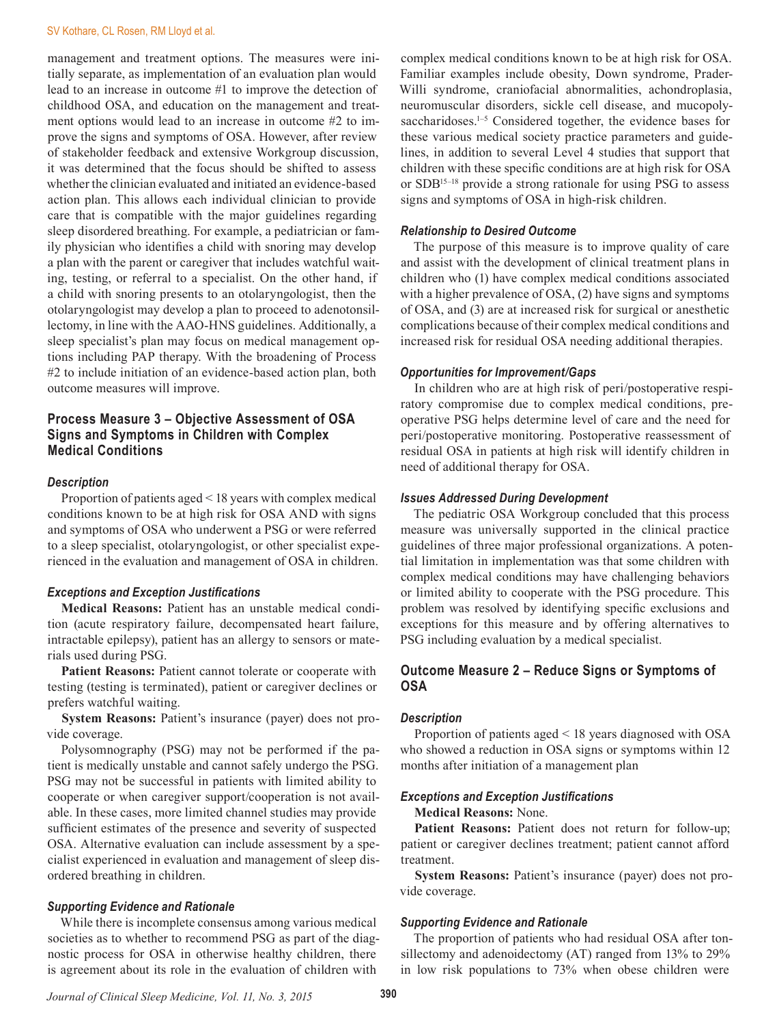#### SV Kothare, CL Rosen, RM Lloyd et al.

management and treatment options. The measures were initially separate, as implementation of an evaluation plan would lead to an increase in outcome #1 to improve the detection of childhood OSA, and education on the management and treatment options would lead to an increase in outcome #2 to improve the signs and symptoms of OSA. However, after review of stakeholder feedback and extensive Workgroup discussion, it was determined that the focus should be shifted to assess whether the clinician evaluated and initiated an evidence-based action plan. This allows each individual clinician to provide care that is compatible with the major guidelines regarding sleep disordered breathing. For example, a pediatrician or family physician who identifies a child with snoring may develop a plan with the parent or caregiver that includes watchful waiting, testing, or referral to a specialist. On the other hand, if a child with snoring presents to an otolaryngologist, then the otolaryngologist may develop a plan to proceed to adenotonsillectomy, in line with the AAO-HNS guidelines. Additionally, a sleep specialist's plan may focus on medical management options including PAP therapy. With the broadening of Process #2 to include initiation of an evidence-based action plan, both outcome measures will improve.

## **Process Measure 3 – Objective Assessment of OSA Signs and Symptoms in Children with Complex Medical Conditions**

#### *Description*

Proportion of patients aged < 18 years with complex medical conditions known to be at high risk for OSA AND with signs and symptoms of OSA who underwent a PSG or were referred to a sleep specialist, otolaryngologist, or other specialist experienced in the evaluation and management of OSA in children.

#### *Exceptions and Exception Justifications*

**Medical Reasons:** Patient has an unstable medical condition (acute respiratory failure, decompensated heart failure, intractable epilepsy), patient has an allergy to sensors or materials used during PSG.

**Patient Reasons:** Patient cannot tolerate or cooperate with testing (testing is terminated), patient or caregiver declines or prefers watchful waiting.

**System Reasons:** Patient's insurance (payer) does not provide coverage.

Polysomnography (PSG) may not be performed if the patient is medically unstable and cannot safely undergo the PSG. PSG may not be successful in patients with limited ability to cooperate or when caregiver support/cooperation is not available. In these cases, more limited channel studies may provide sufficient estimates of the presence and severity of suspected OSA. Alternative evaluation can include assessment by a specialist experienced in evaluation and management of sleep disordered breathing in children.

#### *Supporting Evidence and Rationale*

While there is incomplete consensus among various medical societies as to whether to recommend PSG as part of the diagnostic process for OSA in otherwise healthy children, there is agreement about its role in the evaluation of children with

complex medical conditions known to be at high risk for OSA. Familiar examples include obesity, Down syndrome, Prader-Willi syndrome, craniofacial abnormalities, achondroplasia, neuromuscular disorders, sickle cell disease, and mucopolysaccharidoses.<sup>1-5</sup> Considered together, the evidence bases for these various medical society practice parameters and guidelines, in addition to several Level 4 studies that support that children with these specific conditions are at high risk for OSA or SDB15–18 provide a strong rationale for using PSG to assess signs and symptoms of OSA in high-risk children.

#### *Relationship to Desired Outcome*

The purpose of this measure is to improve quality of care and assist with the development of clinical treatment plans in children who (1) have complex medical conditions associated with a higher prevalence of OSA, (2) have signs and symptoms of OSA, and (3) are at increased risk for surgical or anesthetic complications because of their complex medical conditions and increased risk for residual OSA needing additional therapies.

#### *Opportunities for Improvement/Gaps*

In children who are at high risk of peri/postoperative respiratory compromise due to complex medical conditions, preoperative PSG helps determine level of care and the need for peri/postoperative monitoring. Postoperative reassessment of residual OSA in patients at high risk will identify children in need of additional therapy for OSA.

#### *Issues Addressed During Development*

The pediatric OSA Workgroup concluded that this process measure was universally supported in the clinical practice guidelines of three major professional organizations. A potential limitation in implementation was that some children with complex medical conditions may have challenging behaviors or limited ability to cooperate with the PSG procedure. This problem was resolved by identifying specific exclusions and exceptions for this measure and by offering alternatives to PSG including evaluation by a medical specialist.

## **Outcome Measure 2 – Reduce Signs or Symptoms of OSA**

#### *Description*

Proportion of patients aged < 18 years diagnosed with OSA who showed a reduction in OSA signs or symptoms within 12 months after initiation of a management plan

#### *Exceptions and Exception Justifications*

#### **Medical Reasons:** None.

Patient Reasons: Patient does not return for follow-up; patient or caregiver declines treatment; patient cannot afford treatment.

**System Reasons:** Patient's insurance (payer) does not provide coverage.

#### *Supporting Evidence and Rationale*

The proportion of patients who had residual OSA after tonsillectomy and adenoidectomy (AT) ranged from 13% to 29% in low risk populations to 73% when obese children were

*Journal of Clinical Sleep Medicine, Vol. 11, No. 3, 2015* **390**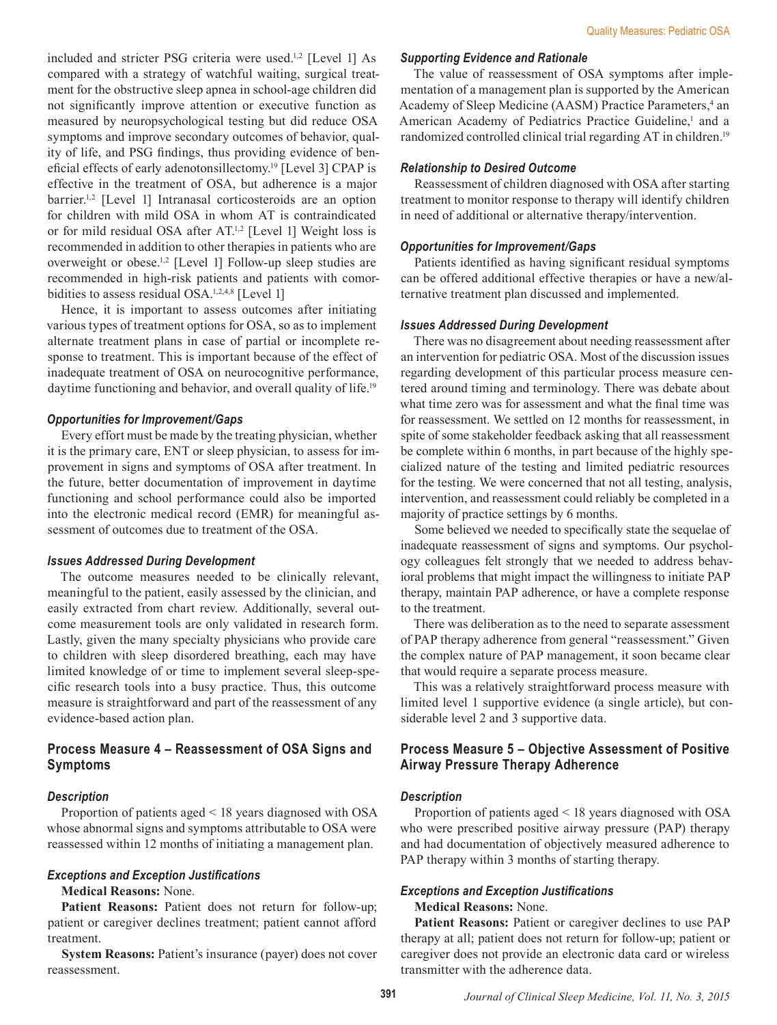included and stricter PSG criteria were used.<sup>1,2</sup> [Level 1] As compared with a strategy of watchful waiting, surgical treatment for the obstructive sleep apnea in school-age children did not significantly improve attention or executive function as measured by neuropsychological testing but did reduce OSA symptoms and improve secondary outcomes of behavior, quality of life, and PSG findings, thus providing evidence of beneficial effects of early adenotonsillectomy.19 [Level 3] CPAP is effective in the treatment of OSA, but adherence is a major barrier.<sup>1,2</sup> [Level 1] Intranasal corticosteroids are an option for children with mild OSA in whom AT is contraindicated or for mild residual OSA after AT.<sup>1,2</sup> [Level 1] Weight loss is recommended in addition to other therapies in patients who are overweight or obese.1,2 [Level 1] Follow-up sleep studies are recommended in high-risk patients and patients with comorbidities to assess residual OSA.<sup>1,2,4,8</sup> [Level 1]

Hence, it is important to assess outcomes after initiating various types of treatment options for OSA, so as to implement alternate treatment plans in case of partial or incomplete response to treatment. This is important because of the effect of inadequate treatment of OSA on neurocognitive performance, daytime functioning and behavior, and overall quality of life.<sup>19</sup>

#### *Opportunities for Improvement/Gaps*

Every effort must be made by the treating physician, whether it is the primary care, ENT or sleep physician, to assess for improvement in signs and symptoms of OSA after treatment. In the future, better documentation of improvement in daytime functioning and school performance could also be imported into the electronic medical record (EMR) for meaningful assessment of outcomes due to treatment of the OSA.

#### *Issues Addressed During Development*

The outcome measures needed to be clinically relevant, meaningful to the patient, easily assessed by the clinician, and easily extracted from chart review. Additionally, several outcome measurement tools are only validated in research form. Lastly, given the many specialty physicians who provide care to children with sleep disordered breathing, each may have limited knowledge of or time to implement several sleep-specific research tools into a busy practice. Thus, this outcome measure is straightforward and part of the reassessment of any evidence-based action plan.

## **Process Measure 4 – Reassessment of OSA Signs and Symptoms**

#### *Description*

Proportion of patients aged < 18 years diagnosed with OSA whose abnormal signs and symptoms attributable to OSA were reassessed within 12 months of initiating a management plan.

#### *Exceptions and Exception Justifications*

#### **Medical Reasons:** None.

**Patient Reasons:** Patient does not return for follow-up; patient or caregiver declines treatment; patient cannot afford treatment.

**System Reasons:** Patient's insurance (payer) does not cover reassessment.

#### *Supporting Evidence and Rationale*

The value of reassessment of OSA symptoms after implementation of a management plan is supported by the American Academy of Sleep Medicine (AASM) Practice Parameters,<sup>4</sup> an American Academy of Pediatrics Practice Guideline,<sup>1</sup> and a randomized controlled clinical trial regarding AT in children.<sup>19</sup>

#### *Relationship to Desired Outcome*

Reassessment of children diagnosed with OSA after starting treatment to monitor response to therapy will identify children in need of additional or alternative therapy/intervention.

#### *Opportunities for Improvement/Gaps*

Patients identified as having significant residual symptoms can be offered additional effective therapies or have a new/alternative treatment plan discussed and implemented.

#### *Issues Addressed During Development*

There was no disagreement about needing reassessment after an intervention for pediatric OSA. Most of the discussion issues regarding development of this particular process measure centered around timing and terminology. There was debate about what time zero was for assessment and what the final time was for reassessment. We settled on 12 months for reassessment, in spite of some stakeholder feedback asking that all reassessment be complete within 6 months, in part because of the highly specialized nature of the testing and limited pediatric resources for the testing. We were concerned that not all testing, analysis, intervention, and reassessment could reliably be completed in a majority of practice settings by 6 months.

Some believed we needed to specifically state the sequelae of inadequate reassessment of signs and symptoms. Our psychology colleagues felt strongly that we needed to address behavioral problems that might impact the willingness to initiate PAP therapy, maintain PAP adherence, or have a complete response to the treatment.

There was deliberation as to the need to separate assessment of PAP therapy adherence from general "reassessment." Given the complex nature of PAP management, it soon became clear that would require a separate process measure.

This was a relatively straightforward process measure with limited level 1 supportive evidence (a single article), but considerable level 2 and 3 supportive data.

## **Process Measure 5 – Objective Assessment of Positive Airway Pressure Therapy Adherence**

#### *Description*

Proportion of patients aged < 18 years diagnosed with OSA who were prescribed positive airway pressure (PAP) therapy and had documentation of objectively measured adherence to PAP therapy within 3 months of starting therapy.

#### *Exceptions and Exception Justifications*

## **Medical Reasons:** None.

**Patient Reasons:** Patient or caregiver declines to use PAP therapy at all; patient does not return for follow-up; patient or caregiver does not provide an electronic data card or wireless transmitter with the adherence data.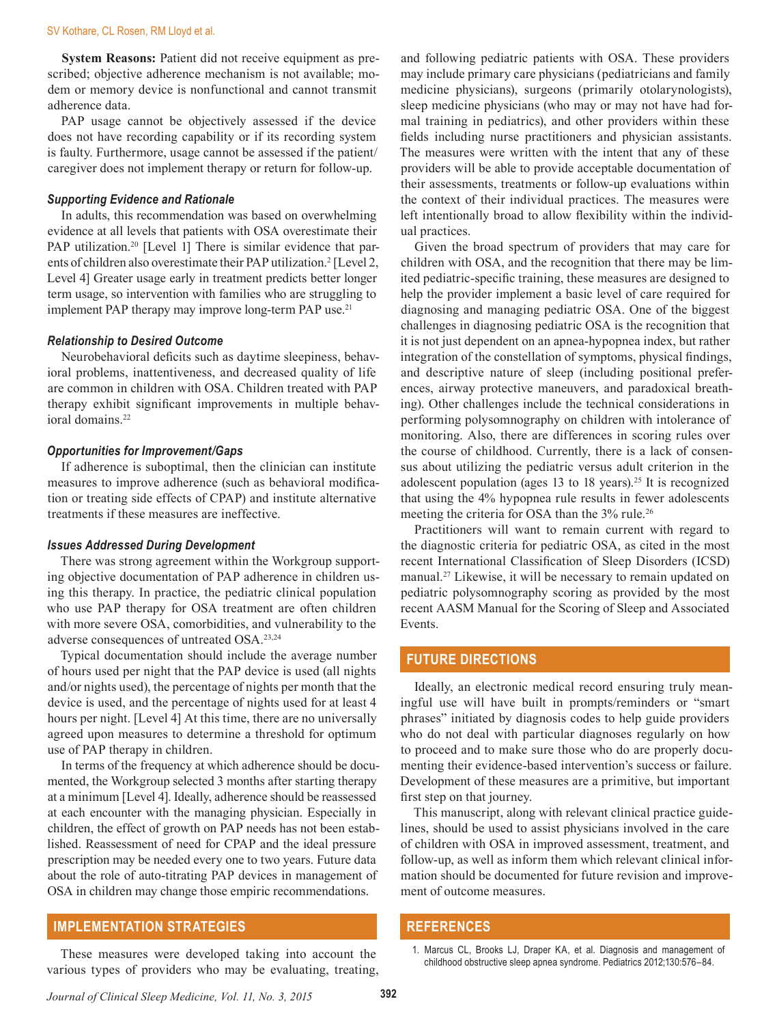**System Reasons:** Patient did not receive equipment as prescribed; objective adherence mechanism is not available; modem or memory device is nonfunctional and cannot transmit adherence data.

PAP usage cannot be objectively assessed if the device does not have recording capability or if its recording system is faulty. Furthermore, usage cannot be assessed if the patient/ caregiver does not implement therapy or return for follow-up.

#### *Supporting Evidence and Rationale*

In adults, this recommendation was based on overwhelming evidence at all levels that patients with OSA overestimate their PAP utilization.<sup>20</sup> [Level 1] There is similar evidence that parents of children also overestimate their PAP utilization.<sup>2</sup> [Level 2, Level 4] Greater usage early in treatment predicts better longer term usage, so intervention with families who are struggling to implement PAP therapy may improve long-term PAP use.<sup>21</sup>

#### *Relationship to Desired Outcome*

Neurobehavioral deficits such as daytime sleepiness, behavioral problems, inattentiveness, and decreased quality of life are common in children with OSA. Children treated with PAP therapy exhibit significant improvements in multiple behavioral domains.<sup>22</sup>

#### *Opportunities for Improvement/Gaps*

If adherence is suboptimal, then the clinician can institute measures to improve adherence (such as behavioral modification or treating side effects of CPAP) and institute alternative treatments if these measures are ineffective.

#### *Issues Addressed During Development*

There was strong agreement within the Workgroup supporting objective documentation of PAP adherence in children using this therapy. In practice, the pediatric clinical population who use PAP therapy for OSA treatment are often children with more severe OSA, comorbidities, and vulnerability to the adverse consequences of untreated OSA.23,24

Typical documentation should include the average number of hours used per night that the PAP device is used (all nights and/or nights used), the percentage of nights per month that the device is used, and the percentage of nights used for at least 4 hours per night. [Level 4] At this time, there are no universally agreed upon measures to determine a threshold for optimum use of PAP therapy in children.

In terms of the frequency at which adherence should be documented, the Workgroup selected 3 months after starting therapy at a minimum [Level 4]. Ideally, adherence should be reassessed at each encounter with the managing physician. Especially in children, the effect of growth on PAP needs has not been established. Reassessment of need for CPAP and the ideal pressure prescription may be needed every one to two years. Future data about the role of auto-titrating PAP devices in management of OSA in children may change those empiric recommendations.

## **IMPLEMENTATION STRATEGIES**

These measures were developed taking into account the various types of providers who may be evaluating, treating,

and following pediatric patients with OSA. These providers may include primary care physicians (pediatricians and family medicine physicians), surgeons (primarily otolarynologists), sleep medicine physicians (who may or may not have had formal training in pediatrics), and other providers within these fields including nurse practitioners and physician assistants. The measures were written with the intent that any of these providers will be able to provide acceptable documentation of their assessments, treatments or follow-up evaluations within the context of their individual practices. The measures were left intentionally broad to allow flexibility within the individual practices.

Given the broad spectrum of providers that may care for children with OSA, and the recognition that there may be limited pediatric-specific training, these measures are designed to help the provider implement a basic level of care required for diagnosing and managing pediatric OSA. One of the biggest challenges in diagnosing pediatric OSA is the recognition that it is not just dependent on an apnea-hypopnea index, but rather integration of the constellation of symptoms, physical findings, and descriptive nature of sleep (including positional preferences, airway protective maneuvers, and paradoxical breathing). Other challenges include the technical considerations in performing polysomnography on children with intolerance of monitoring. Also, there are differences in scoring rules over the course of childhood. Currently, there is a lack of consensus about utilizing the pediatric versus adult criterion in the adolescent population (ages 13 to 18 years).<sup>25</sup> It is recognized that using the 4% hypopnea rule results in fewer adolescents meeting the criteria for OSA than the 3% rule.<sup>26</sup>

Practitioners will want to remain current with regard to the diagnostic criteria for pediatric OSA, as cited in the most recent International Classification of Sleep Disorders (ICSD) manual.<sup>27</sup> Likewise, it will be necessary to remain updated on pediatric polysomnography scoring as provided by the most recent AASM Manual for the Scoring of Sleep and Associated Events.

## **FUTURE DIRECTIONS**

Ideally, an electronic medical record ensuring truly meaningful use will have built in prompts/reminders or "smart phrases" initiated by diagnosis codes to help guide providers who do not deal with particular diagnoses regularly on how to proceed and to make sure those who do are properly documenting their evidence-based intervention's success or failure. Development of these measures are a primitive, but important first step on that journey.

This manuscript, along with relevant clinical practice guidelines, should be used to assist physicians involved in the care of children with OSA in improved assessment, treatment, and follow-up, as well as inform them which relevant clinical information should be documented for future revision and improvement of outcome measures.

## **REFERENCES**

*Journal of Clinical Sleep Medicine, Vol. 11, No. 3, 2015* **392**

<sup>1.</sup> Marcus CL, Brooks LJ, Draper KA, et al. Diagnosis and management of childhood obstructive sleep apnea syndrome. Pediatrics 2012;130:576–84.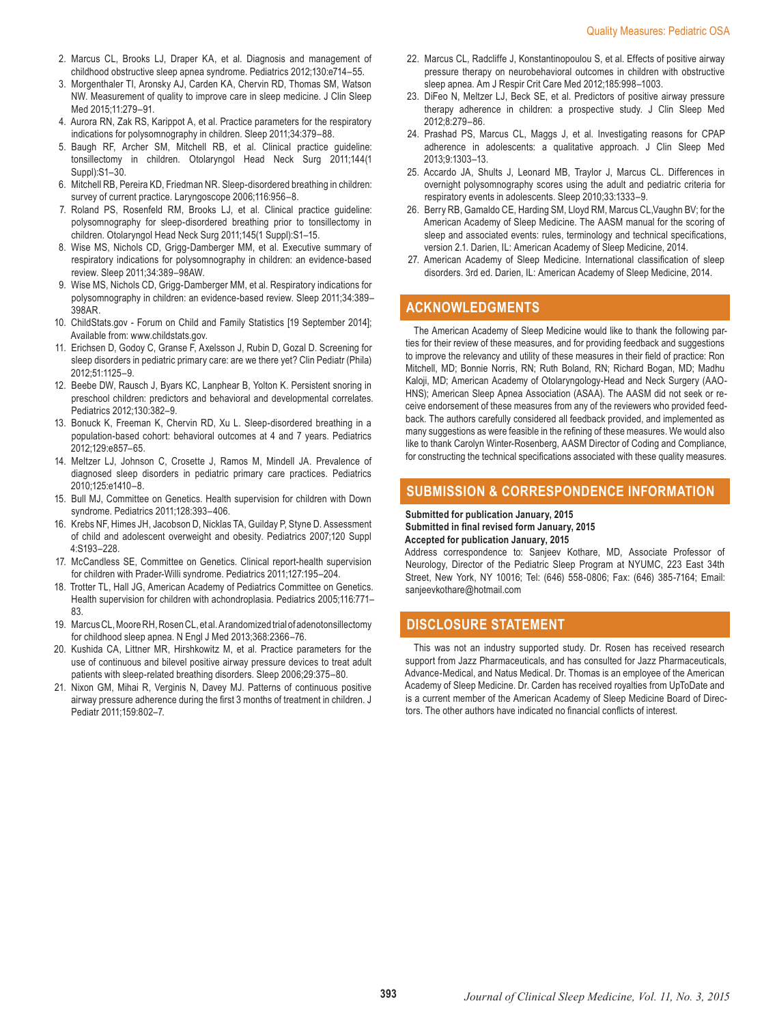- 2. Marcus CL, Brooks LJ, Draper KA, et al. Diagnosis and management of childhood obstructive sleep apnea syndrome. Pediatrics 2012;130:e714–55.
- 3. Morgenthaler TI, Aronsky AJ, Carden KA, Chervin RD, Thomas SM, Watson NW. Measurement of quality to improve care in sleep medicine. J Clin Sleep Med 2015;11:279–91.
- 4. Aurora RN, Zak RS, Karippot A, et al. Practice parameters for the respiratory indications for polysomnography in children. Sleep 2011;34:379–88.
- 5. Baugh RF, Archer SM, Mitchell RB, et al. Clinical practice guideline: tonsillectomy in children. Otolaryngol Head Neck Surg 2011;144(1 Suppl):S1–30.
- 6. Mitchell RB, Pereira KD, Friedman NR. Sleep-disordered breathing in children: survey of current practice. Laryngoscope 2006;116:956–8.
- 7. Roland PS, Rosenfeld RM, Brooks LJ, et al. Clinical practice guideline: polysomnography for sleep-disordered breathing prior to tonsillectomy in children. Otolaryngol Head Neck Surg 2011;145(1 Suppl):S1–15.
- 8. Wise MS, Nichols CD, Grigg-Damberger MM, et al. Executive summary of respiratory indications for polysomnography in children: an evidence-based review. Sleep 2011;34:389–98AW.
- 9. Wise MS, Nichols CD, Grigg-Damberger MM, et al. Respiratory indications for polysomnography in children: an evidence-based review. Sleep 2011;34:389– 398AR.
- 10. ChildStats.gov Forum on Child and Family Statistics [19 September 2014]; Available from: www.childstats.gov.
- 11. Erichsen D, Godoy C, Granse F, Axelsson J, Rubin D, Gozal D. Screening for sleep disorders in pediatric primary care: are we there yet? Clin Pediatr (Phila) 2012;51:1125–9.
- 12. Beebe DW, Rausch J, Byars KC, Lanphear B, Yolton K. Persistent snoring in preschool children: predictors and behavioral and developmental correlates. Pediatrics 2012;130:382–9.
- 13. Bonuck K, Freeman K, Chervin RD, Xu L. Sleep-disordered breathing in a population-based cohort: behavioral outcomes at 4 and 7 years. Pediatrics 2012;129:e857–65.
- 14. Meltzer LJ, Johnson C, Crosette J, Ramos M, Mindell JA. Prevalence of diagnosed sleep disorders in pediatric primary care practices. Pediatrics 2010;125:e1410–8.
- 15. Bull MJ, Committee on Genetics. Health supervision for children with Down syndrome. Pediatrics 2011;128:393–406.
- 16. Krebs NF, Himes JH, Jacobson D, Nicklas TA, Guilday P, Styne D. Assessment of child and adolescent overweight and obesity. Pediatrics 2007;120 Suppl 4:S193–228.
- 17. McCandless SE, Committee on Genetics. Clinical report-health supervision for children with Prader-Willi syndrome. Pediatrics 2011;127:195–204.
- 18. Trotter TL, Hall JG, American Academy of Pediatrics Committee on Genetics. Health supervision for children with achondroplasia. Pediatrics 2005;116:771– 83.
- 19. Marcus CL, Moore RH, Rosen CL, et al. A randomized trial of adenotonsillectomy for childhood sleep apnea. N Engl J Med 2013;368:2366–76.
- 20. Kushida CA, Littner MR, Hirshkowitz M, et al. Practice parameters for the use of continuous and bilevel positive airway pressure devices to treat adult patients with sleep-related breathing disorders. Sleep 2006;29:375–80.
- 21. Nixon GM, Mihai R, Verginis N, Davey MJ. Patterns of continuous positive airway pressure adherence during the first 3 months of treatment in children. J Pediatr 2011;159:802–7.
- 22. Marcus CL, Radcliffe J, Konstantinopoulou S, et al. Effects of positive airway pressure therapy on neurobehavioral outcomes in children with obstructive sleep apnea. Am J Respir Crit Care Med 2012;185:998–1003.
- 23. DiFeo N, Meltzer LJ, Beck SE, et al. Predictors of positive airway pressure therapy adherence in children: a prospective study. J Clin Sleep Med 2012;8:279–86.
- 24. Prashad PS, Marcus CL, Maggs J, et al. Investigating reasons for CPAP adherence in adolescents: a qualitative approach. J Clin Sleep Med 2013;9:1303–13.
- 25. Accardo JA, Shults J, Leonard MB, Traylor J, Marcus CL. Differences in overnight polysomnography scores using the adult and pediatric criteria for respiratory events in adolescents. Sleep 2010;33:1333–9.
- 26. Berry RB, Gamaldo CE, Harding SM, Lloyd RM, Marcus CL,Vaughn BV; for the American Academy of Sleep Medicine. The AASM manual for the scoring of sleep and associated events: rules, terminology and technical specifications, version 2.1. Darien, IL: American Academy of Sleep Medicine, 2014.
- 27. American Academy of Sleep Medicine. International classification of sleep disorders. 3rd ed. Darien, IL: American Academy of Sleep Medicine, 2014.

## **ACKNOWLEDGMENTS**

The American Academy of Sleep Medicine would like to thank the following parties for their review of these measures, and for providing feedback and suggestions to improve the relevancy and utility of these measures in their field of practice: Ron Mitchell, MD; Bonnie Norris, RN; Ruth Boland, RN; Richard Bogan, MD; Madhu Kaloji, MD; American Academy of Otolaryngology-Head and Neck Surgery (AAO-HNS); American Sleep Apnea Association (ASAA). The AASM did not seek or receive endorsement of these measures from any of the reviewers who provided feedback. The authors carefully considered all feedback provided, and implemented as many suggestions as were feasible in the refining of these measures. We would also like to thank Carolyn Winter-Rosenberg, AASM Director of Coding and Compliance, for constructing the technical specifications associated with these quality measures.

## **SUBMISSION & CORRESPONDENCE INFORMATION**

**Submitted for publication January, 2015 Submitted in final revised form January, 2015 Accepted for publication January, 2015**

Address correspondence to: Sanjeev Kothare, MD, Associate Professor of Neurology, Director of the Pediatric Sleep Program at NYUMC, 223 East 34th Street, New York, NY 10016; Tel: (646) 558-0806; Fax: (646) 385-7164; Email: sanjeevkothare@hotmail.com

## **DISCLOSURE STATEMENT**

This was not an industry supported study. Dr. Rosen has received research support from Jazz Pharmaceuticals, and has consulted for Jazz Pharmaceuticals, Advance-Medical, and Natus Medical. Dr. Thomas is an employee of the American Academy of Sleep Medicine. Dr. Carden has received royalties from UpToDate and is a current member of the American Academy of Sleep Medicine Board of Directors. The other authors have indicated no financial conflicts of interest.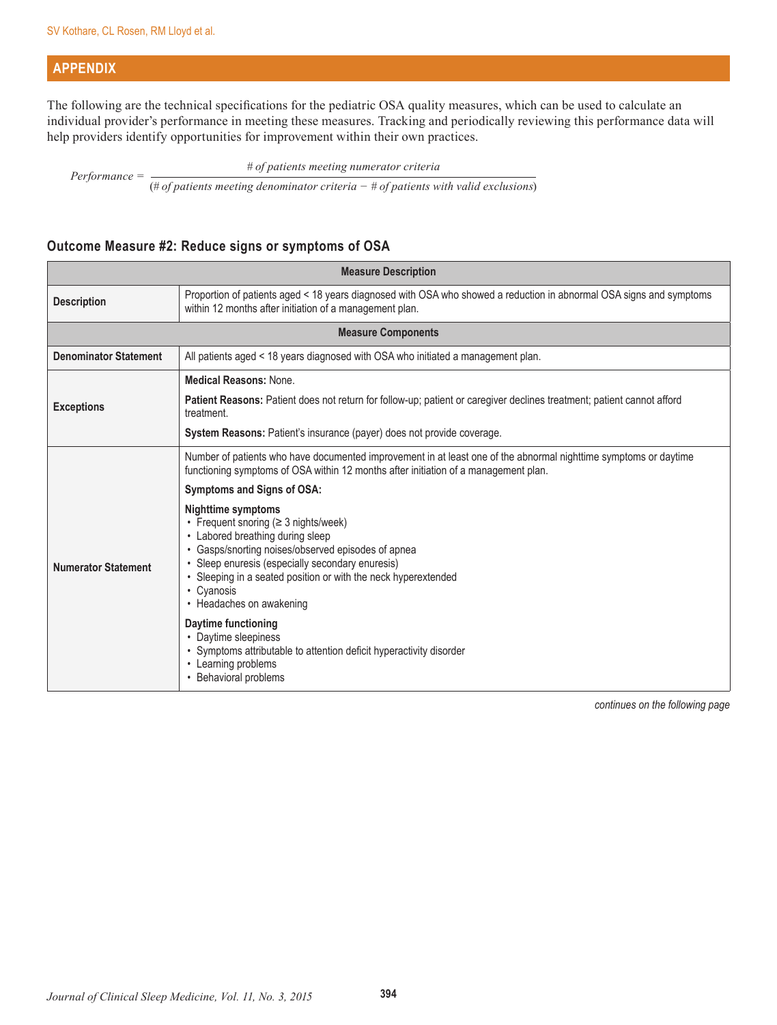## **APPENDIX**

The following are the technical specifications for the pediatric OSA quality measures, which can be used to calculate an individual provider's performance in meeting these measures. Tracking and periodically reviewing this performance data will help providers identify opportunities for improvement within their own practices.

*Performance =*  $\frac{\# of patients meeting numerator criteria$ 

(*# of patients meeting denominator criteria − # of patients with valid exclusions*)

## **Outcome Measure #2: Reduce signs or symptoms of OSA**

| <b>Measure Description</b>   |                                                                                                                                                                                                                                                                                                                             |  |  |
|------------------------------|-----------------------------------------------------------------------------------------------------------------------------------------------------------------------------------------------------------------------------------------------------------------------------------------------------------------------------|--|--|
| <b>Description</b>           | Proportion of patients aged < 18 years diagnosed with OSA who showed a reduction in abnormal OSA signs and symptoms<br>within 12 months after initiation of a management plan.                                                                                                                                              |  |  |
|                              | <b>Measure Components</b>                                                                                                                                                                                                                                                                                                   |  |  |
| <b>Denominator Statement</b> | All patients aged < 18 years diagnosed with OSA who initiated a management plan.                                                                                                                                                                                                                                            |  |  |
| <b>Exceptions</b>            | <b>Medical Reasons: None.</b>                                                                                                                                                                                                                                                                                               |  |  |
|                              | Patient Reasons: Patient does not return for follow-up; patient or caregiver declines treatment; patient cannot afford<br>treatment.                                                                                                                                                                                        |  |  |
|                              | System Reasons: Patient's insurance (payer) does not provide coverage.                                                                                                                                                                                                                                                      |  |  |
|                              | Number of patients who have documented improvement in at least one of the abnormal nighttime symptoms or daytime<br>functioning symptoms of OSA within 12 months after initiation of a management plan.                                                                                                                     |  |  |
|                              | Symptoms and Signs of OSA:                                                                                                                                                                                                                                                                                                  |  |  |
| <b>Numerator Statement</b>   | <b>Nighttime symptoms</b><br>• Frequent snoring (≥ 3 nights/week)<br>• Labored breathing during sleep<br>• Gasps/snorting noises/observed episodes of apnea<br>• Sleep enuresis (especially secondary enuresis)<br>• Sleeping in a seated position or with the neck hyperextended<br>• Cyanosis<br>• Headaches on awakening |  |  |
|                              | Daytime functioning<br>• Daytime sleepiness<br>• Symptoms attributable to attention deficit hyperactivity disorder<br>• Learning problems<br>• Behavioral problems                                                                                                                                                          |  |  |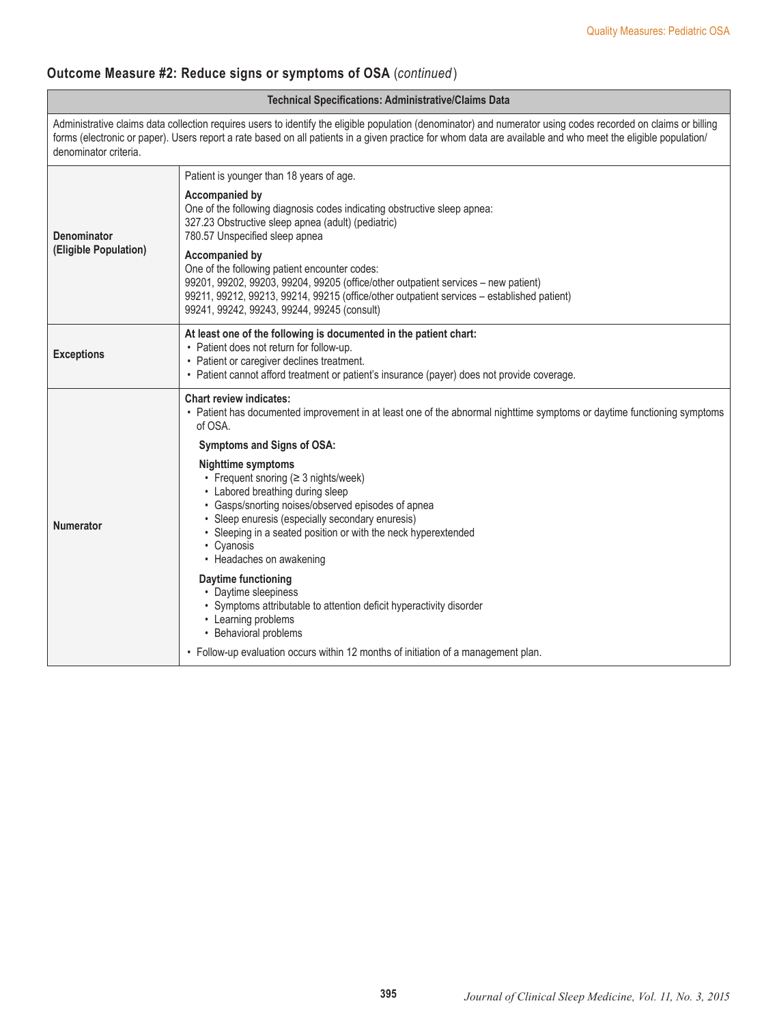## **Outcome Measure #2: Reduce signs or symptoms of OSA** (*continued* )

#### **Technical Specifications: Administrative/Claims Data** Administrative claims data collection requires users to identify the eligible population (denominator) and numerator using codes recorded on claims or billing forms (electronic or paper). Users report a rate based on all patients in a given practice for whom data are available and who meet the eligible population/ denominator criteria. **Denominator (Eligible Population)** Patient is younger than 18 years of age. **Accompanied by** One of the following diagnosis codes indicating obstructive sleep apnea: 327.23 Obstructive sleep apnea (adult) (pediatric) 780.57 Unspecified sleep apnea **Accompanied by** One of the following patient encounter codes: 99201, 99202, 99203, 99204, 99205 (office/other outpatient services – new patient) 99211, 99212, 99213, 99214, 99215 (office/other outpatient services – established patient) 99241, 99242, 99243, 99244, 99245 (consult) **Exceptions At least one of the following is documented in the patient chart:** • Patient does not return for follow-up. • Patient or caregiver declines treatment. • Patient cannot afford treatment or patient's insurance (payer) does not provide coverage. **Numerator Chart review indicates:** • Patient has documented improvement in at least one of the abnormal nighttime symptoms or daytime functioning symptoms of OSA. **Symptoms and Signs of OSA: Nighttime symptoms** • Frequent snoring (≥ 3 nights/week) • Labored breathing during sleep • Gasps/snorting noises/observed episodes of apnea • Sleep enuresis (especially secondary enuresis) • Sleeping in a seated position or with the neck hyperextended • Cyanosis • Headaches on awakening **Daytime functioning** • Daytime sleepiness • Symptoms attributable to attention deficit hyperactivity disorder • Learning problems • Behavioral problems • Follow-up evaluation occurs within 12 months of initiation of a management plan.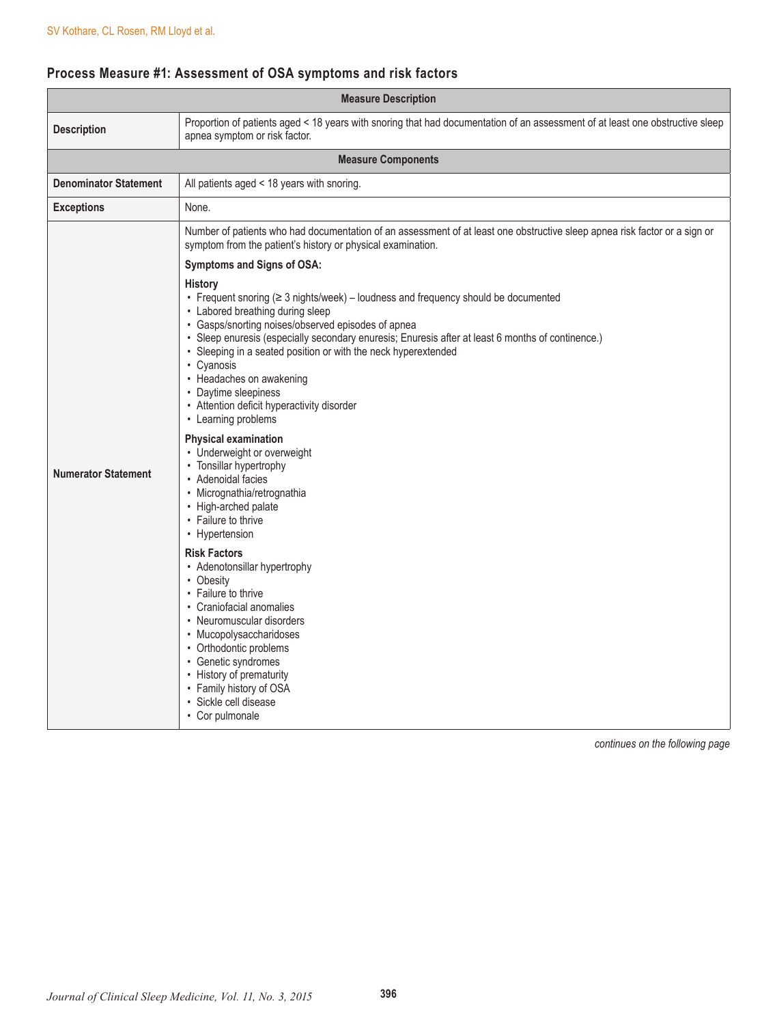## **Process Measure #1: Assessment of OSA symptoms and risk factors**

| <b>Measure Description</b>   |                                                                                                                                                                                                                                                                                                                                                                                                                                                                                                                                                                                                                                                                                                                                                                                                                                                                                                                                                                                                                                                                  |
|------------------------------|------------------------------------------------------------------------------------------------------------------------------------------------------------------------------------------------------------------------------------------------------------------------------------------------------------------------------------------------------------------------------------------------------------------------------------------------------------------------------------------------------------------------------------------------------------------------------------------------------------------------------------------------------------------------------------------------------------------------------------------------------------------------------------------------------------------------------------------------------------------------------------------------------------------------------------------------------------------------------------------------------------------------------------------------------------------|
| <b>Description</b>           | Proportion of patients aged < 18 years with snoring that had documentation of an assessment of at least one obstructive sleep<br>apnea symptom or risk factor.                                                                                                                                                                                                                                                                                                                                                                                                                                                                                                                                                                                                                                                                                                                                                                                                                                                                                                   |
|                              | <b>Measure Components</b>                                                                                                                                                                                                                                                                                                                                                                                                                                                                                                                                                                                                                                                                                                                                                                                                                                                                                                                                                                                                                                        |
| <b>Denominator Statement</b> | All patients aged < 18 years with snoring.                                                                                                                                                                                                                                                                                                                                                                                                                                                                                                                                                                                                                                                                                                                                                                                                                                                                                                                                                                                                                       |
| <b>Exceptions</b>            | None.                                                                                                                                                                                                                                                                                                                                                                                                                                                                                                                                                                                                                                                                                                                                                                                                                                                                                                                                                                                                                                                            |
|                              | Number of patients who had documentation of an assessment of at least one obstructive sleep apnea risk factor or a sign or<br>symptom from the patient's history or physical examination.<br>Symptoms and Signs of OSA:                                                                                                                                                                                                                                                                                                                                                                                                                                                                                                                                                                                                                                                                                                                                                                                                                                          |
| <b>Numerator Statement</b>   | <b>History</b><br>• Frequent snoring $(≥ 3$ nights/week) – loudness and frequency should be documented<br>• Labored breathing during sleep<br>• Gasps/snorting noises/observed episodes of apnea<br>• Sleep enuresis (especially secondary enuresis; Enuresis after at least 6 months of continence.)<br>• Sleeping in a seated position or with the neck hyperextended<br>• Cyanosis<br>• Headaches on awakening<br>• Daytime sleepiness<br>• Attention deficit hyperactivity disorder<br>• Learning problems<br><b>Physical examination</b><br>• Underweight or overweight<br>• Tonsillar hypertrophy<br>• Adenoidal facies<br>· Micrognathia/retrognathia<br>• High-arched palate<br>• Failure to thrive<br>• Hypertension<br><b>Risk Factors</b><br>• Adenotonsillar hypertrophy<br>• Obesity<br>• Failure to thrive<br>• Craniofacial anomalies<br>• Neuromuscular disorders<br>• Mucopolysaccharidoses<br>• Orthodontic problems<br>• Genetic syndromes<br>• History of prematurity<br>• Family history of OSA<br>· Sickle cell disease<br>• Cor pulmonale |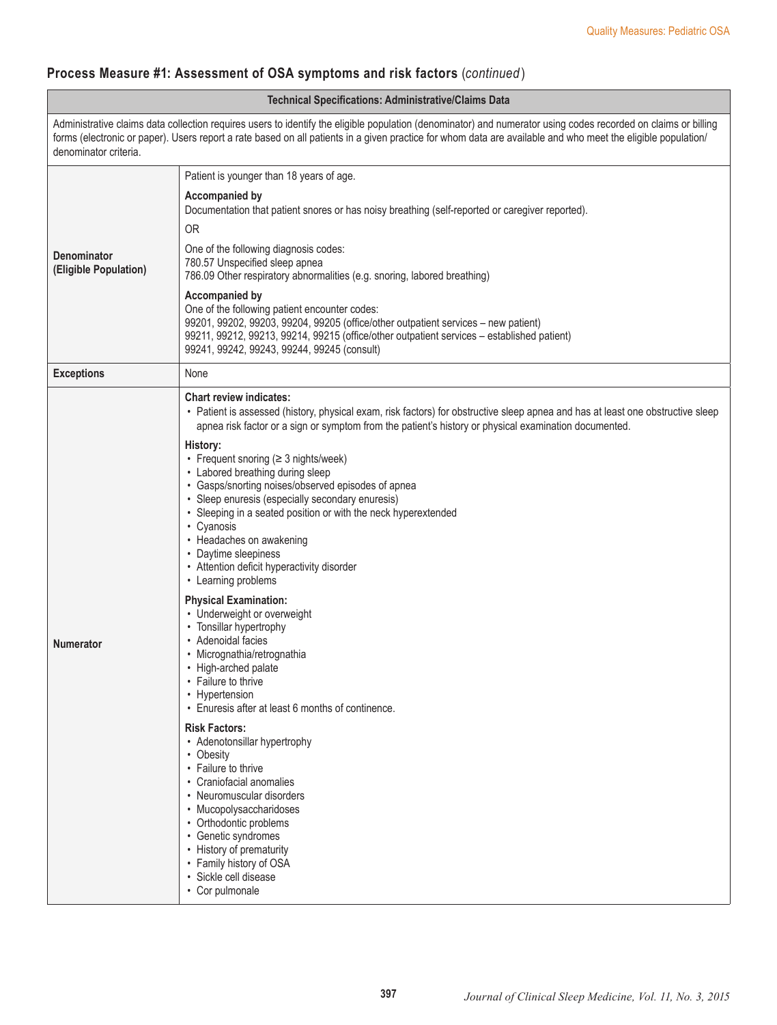## **Process Measure #1: Assessment of OSA symptoms and risk factors** (*continued* )

| <b>Technical Specifications: Administrative/Claims Data</b>                                                                                                                                                                                                                                                                                             |                                                                                                                                                                                                                                                                                                                                                                                                                                                                                                                                                                                                                                                                                                                                                                                                                                                                                                                                                            |
|---------------------------------------------------------------------------------------------------------------------------------------------------------------------------------------------------------------------------------------------------------------------------------------------------------------------------------------------------------|------------------------------------------------------------------------------------------------------------------------------------------------------------------------------------------------------------------------------------------------------------------------------------------------------------------------------------------------------------------------------------------------------------------------------------------------------------------------------------------------------------------------------------------------------------------------------------------------------------------------------------------------------------------------------------------------------------------------------------------------------------------------------------------------------------------------------------------------------------------------------------------------------------------------------------------------------------|
| Administrative claims data collection requires users to identify the eligible population (denominator) and numerator using codes recorded on claims or billing<br>forms (electronic or paper). Users report a rate based on all patients in a given practice for whom data are available and who meet the eligible population/<br>denominator criteria. |                                                                                                                                                                                                                                                                                                                                                                                                                                                                                                                                                                                                                                                                                                                                                                                                                                                                                                                                                            |
|                                                                                                                                                                                                                                                                                                                                                         | Patient is younger than 18 years of age.                                                                                                                                                                                                                                                                                                                                                                                                                                                                                                                                                                                                                                                                                                                                                                                                                                                                                                                   |
| <b>Denominator</b><br>(Eligible Population)                                                                                                                                                                                                                                                                                                             | <b>Accompanied by</b><br>Documentation that patient snores or has noisy breathing (self-reported or caregiver reported).<br><b>OR</b>                                                                                                                                                                                                                                                                                                                                                                                                                                                                                                                                                                                                                                                                                                                                                                                                                      |
|                                                                                                                                                                                                                                                                                                                                                         | One of the following diagnosis codes:<br>780.57 Unspecified sleep apnea<br>786.09 Other respiratory abnormalities (e.g. snoring, labored breathing)                                                                                                                                                                                                                                                                                                                                                                                                                                                                                                                                                                                                                                                                                                                                                                                                        |
|                                                                                                                                                                                                                                                                                                                                                         | Accompanied by<br>One of the following patient encounter codes:<br>99201, 99202, 99203, 99204, 99205 (office/other outpatient services - new patient)<br>99211, 99212, 99213, 99214, 99215 (office/other outpatient services - established patient)<br>99241, 99242, 99243, 99244, 99245 (consult)                                                                                                                                                                                                                                                                                                                                                                                                                                                                                                                                                                                                                                                         |
| <b>Exceptions</b>                                                                                                                                                                                                                                                                                                                                       | None                                                                                                                                                                                                                                                                                                                                                                                                                                                                                                                                                                                                                                                                                                                                                                                                                                                                                                                                                       |
| <b>Numerator</b>                                                                                                                                                                                                                                                                                                                                        | <b>Chart review indicates:</b><br>• Patient is assessed (history, physical exam, risk factors) for obstructive sleep apnea and has at least one obstructive sleep<br>apnea risk factor or a sign or symptom from the patient's history or physical examination documented.<br>History:<br>• Frequent snoring (≥ 3 nights/week)<br>• Labored breathing during sleep<br>• Gasps/snorting noises/observed episodes of apnea<br>• Sleep enuresis (especially secondary enuresis)<br>• Sleeping in a seated position or with the neck hyperextended<br>• Cyanosis<br>• Headaches on awakening<br>• Daytime sleepiness<br>• Attention deficit hyperactivity disorder<br>• Learning problems<br><b>Physical Examination:</b><br>• Underweight or overweight<br>• Tonsillar hypertrophy<br>• Adenoidal facies<br>· Micrognathia/retrognathia<br>• High-arched palate<br>• Failure to thrive<br>• Hypertension<br>• Enuresis after at least 6 months of continence. |
|                                                                                                                                                                                                                                                                                                                                                         | <b>Risk Factors:</b><br>• Adenotonsillar hypertrophy<br>• Obesity<br>• Failure to thrive<br>• Craniofacial anomalies<br>• Neuromuscular disorders<br>• Mucopolysaccharidoses<br>• Orthodontic problems<br>• Genetic syndromes<br>• History of prematurity<br>• Family history of OSA<br>• Sickle cell disease<br>• Cor pulmonale                                                                                                                                                                                                                                                                                                                                                                                                                                                                                                                                                                                                                           |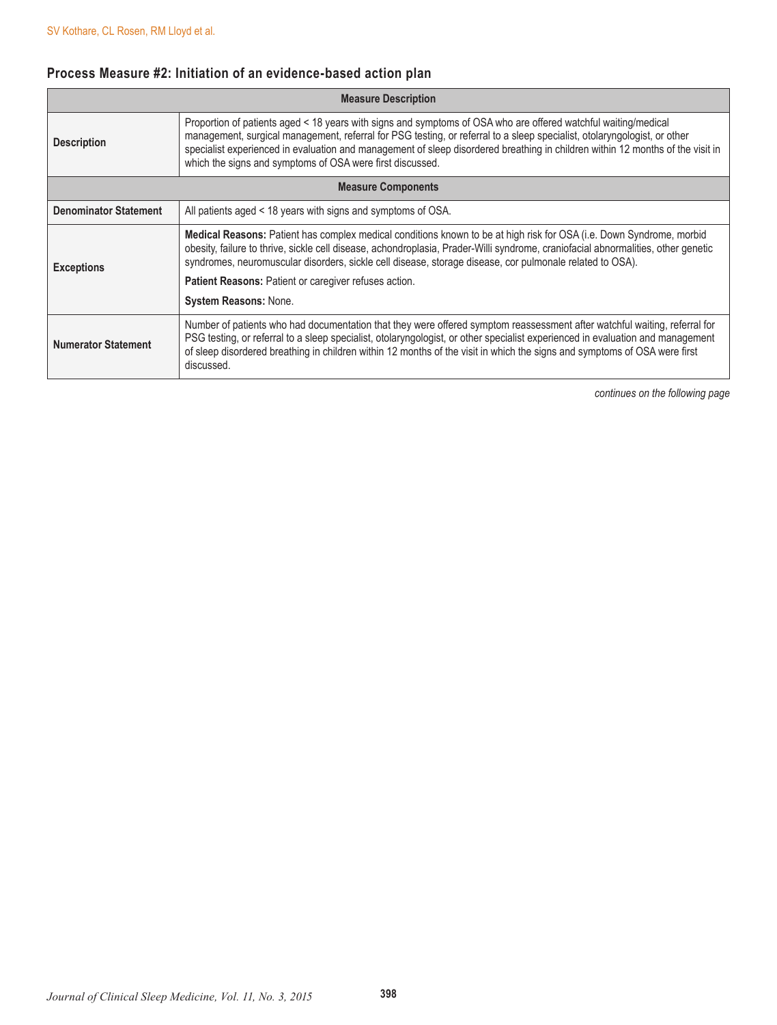# **Process Measure #2: Initiation of an evidence-based action plan**

| <b>Measure Description</b>   |                                                                                                                                                                                                                                                                                                                                                                                                                                           |
|------------------------------|-------------------------------------------------------------------------------------------------------------------------------------------------------------------------------------------------------------------------------------------------------------------------------------------------------------------------------------------------------------------------------------------------------------------------------------------|
| <b>Description</b>           | Proportion of patients aged < 18 years with signs and symptoms of OSA who are offered watchful waiting/medical<br>management, surgical management, referral for PSG testing, or referral to a sleep specialist, otolaryngologist, or other<br>specialist experienced in evaluation and management of sleep disordered breathing in children within 12 months of the visit in<br>which the signs and symptoms of OSA were first discussed. |
| <b>Measure Components</b>    |                                                                                                                                                                                                                                                                                                                                                                                                                                           |
| <b>Denominator Statement</b> | All patients aged < 18 years with signs and symptoms of OSA.                                                                                                                                                                                                                                                                                                                                                                              |
| <b>Exceptions</b>            | Medical Reasons: Patient has complex medical conditions known to be at high risk for OSA (i.e. Down Syndrome, morbid<br>obesity, failure to thrive, sickle cell disease, achondroplasia, Prader-Willi syndrome, craniofacial abnormalities, other genetic<br>syndromes, neuromuscular disorders, sickle cell disease, storage disease, cor pulmonale related to OSA).                                                                     |
|                              | Patient Reasons: Patient or caregiver refuses action.                                                                                                                                                                                                                                                                                                                                                                                     |
|                              | <b>System Reasons: None.</b>                                                                                                                                                                                                                                                                                                                                                                                                              |
| <b>Numerator Statement</b>   | Number of patients who had documentation that they were offered symptom reassessment after watchful waiting, referral for<br>PSG testing, or referral to a sleep specialist, otolaryngologist, or other specialist experienced in evaluation and management<br>of sleep disordered breathing in children within 12 months of the visit in which the signs and symptoms of OSA were first<br>discussed.                                    |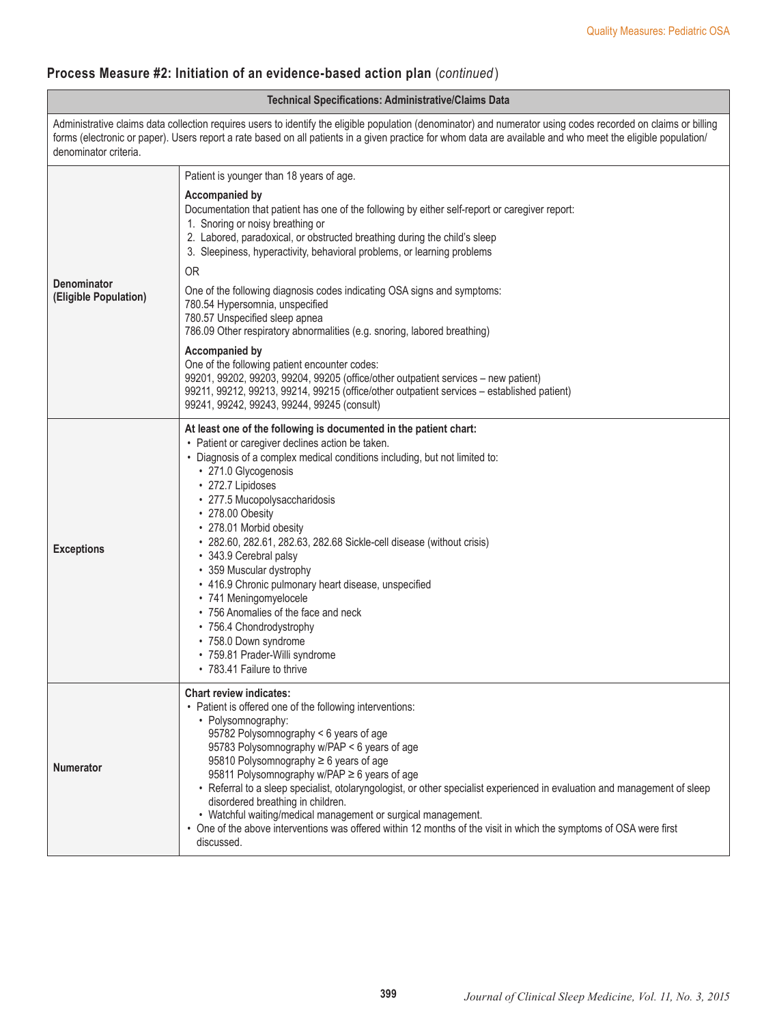## **Process Measure #2: Initiation of an evidence-based action plan** (*continued* )

| <b>Technical Specifications: Administrative/Claims Data</b> |                                                                                                                                                                                                                                                                                                                                                                                                                                                                                                                                                                                                                                                                                                                |
|-------------------------------------------------------------|----------------------------------------------------------------------------------------------------------------------------------------------------------------------------------------------------------------------------------------------------------------------------------------------------------------------------------------------------------------------------------------------------------------------------------------------------------------------------------------------------------------------------------------------------------------------------------------------------------------------------------------------------------------------------------------------------------------|
| denominator criteria.                                       | Administrative claims data collection requires users to identify the eligible population (denominator) and numerator using codes recorded on claims or billing<br>forms (electronic or paper). Users report a rate based on all patients in a given practice for whom data are available and who meet the eligible population/                                                                                                                                                                                                                                                                                                                                                                                 |
|                                                             | Patient is younger than 18 years of age.                                                                                                                                                                                                                                                                                                                                                                                                                                                                                                                                                                                                                                                                       |
| <b>Denominator</b><br>(Eligible Population)                 | <b>Accompanied by</b><br>Documentation that patient has one of the following by either self-report or caregiver report:<br>1. Snoring or noisy breathing or<br>2. Labored, paradoxical, or obstructed breathing during the child's sleep<br>3. Sleepiness, hyperactivity, behavioral problems, or learning problems<br><b>OR</b>                                                                                                                                                                                                                                                                                                                                                                               |
|                                                             | One of the following diagnosis codes indicating OSA signs and symptoms:<br>780.54 Hypersomnia, unspecified<br>780.57 Unspecified sleep apnea<br>786.09 Other respiratory abnormalities (e.g. snoring, labored breathing)                                                                                                                                                                                                                                                                                                                                                                                                                                                                                       |
|                                                             | <b>Accompanied by</b><br>One of the following patient encounter codes:<br>99201, 99202, 99203, 99204, 99205 (office/other outpatient services - new patient)<br>99211, 99212, 99213, 99214, 99215 (office/other outpatient services - established patient)<br>99241, 99242, 99243, 99244, 99245 (consult)                                                                                                                                                                                                                                                                                                                                                                                                      |
| <b>Exceptions</b>                                           | At least one of the following is documented in the patient chart:<br>• Patient or caregiver declines action be taken.<br>• Diagnosis of a complex medical conditions including, but not limited to:<br>• 271.0 Glycogenosis<br>• 272.7 Lipidoses<br>• 277.5 Mucopolysaccharidosis<br>• 278.00 Obesity<br>• 278.01 Morbid obesity<br>• 282.60, 282.61, 282.63, 282.68 Sickle-cell disease (without crisis)<br>• 343.9 Cerebral palsy<br>• 359 Muscular dystrophy<br>• 416.9 Chronic pulmonary heart disease, unspecified<br>• 741 Meningomyelocele<br>• 756 Anomalies of the face and neck<br>• 756.4 Chondrodystrophy<br>• 758.0 Down syndrome<br>· 759.81 Prader-Willi syndrome<br>• 783.41 Failure to thrive |
| Numerator                                                   | <b>Chart review indicates:</b><br>• Patient is offered one of the following interventions:<br>• Polysomnography:<br>95782 Polysomnography < 6 years of age<br>95783 Polysomnography w/PAP < 6 years of age<br>95810 Polysomnography ≥ 6 years of age<br>95811 Polysomnography w/PAP ≥ 6 years of age<br>• Referral to a sleep specialist, otolaryngologist, or other specialist experienced in evaluation and management of sleep<br>disordered breathing in children.<br>• Watchful waiting/medical management or surgical management.<br>• One of the above interventions was offered within 12 months of the visit in which the symptoms of OSA were first<br>discussed.                                    |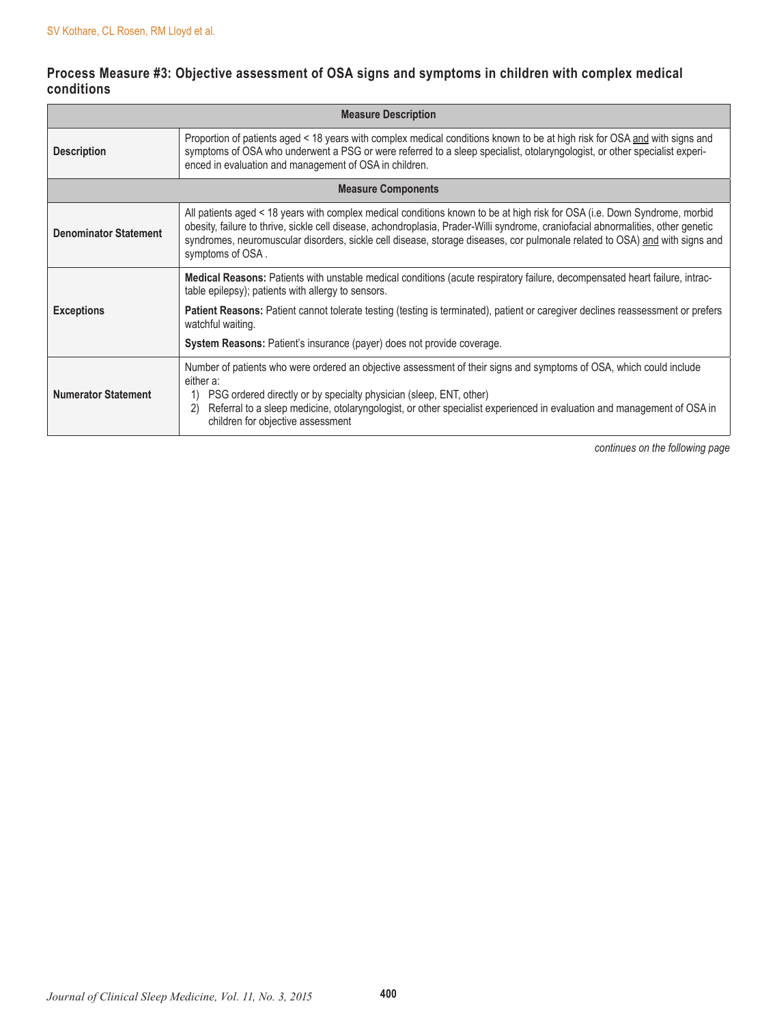## **Process Measure #3: Objective assessment of OSA signs and symptoms in children with complex medical conditions**

| <b>Measure Description</b>   |                                                                                                                                                                                                                                                                                                                                                                                                                   |  |
|------------------------------|-------------------------------------------------------------------------------------------------------------------------------------------------------------------------------------------------------------------------------------------------------------------------------------------------------------------------------------------------------------------------------------------------------------------|--|
| <b>Description</b>           | Proportion of patients aged < 18 years with complex medical conditions known to be at high risk for OSA and with signs and<br>symptoms of OSA who underwent a PSG or were referred to a sleep specialist, otolaryngologist, or other specialist experi-<br>enced in evaluation and management of OSA in children.                                                                                                 |  |
| <b>Measure Components</b>    |                                                                                                                                                                                                                                                                                                                                                                                                                   |  |
| <b>Denominator Statement</b> | All patients aged < 18 years with complex medical conditions known to be at high risk for OSA (i.e. Down Syndrome, morbid<br>obesity, failure to thrive, sickle cell disease, achondroplasia, Prader-Willi syndrome, craniofacial abnormalities, other genetic<br>syndromes, neuromuscular disorders, sickle cell disease, storage diseases, cor pulmonale related to OSA) and with signs and<br>symptoms of OSA. |  |
| <b>Exceptions</b>            | Medical Reasons: Patients with unstable medical conditions (acute respiratory failure, decompensated heart failure, intrac-<br>table epilepsy); patients with allergy to sensors.                                                                                                                                                                                                                                 |  |
|                              | Patient Reasons: Patient cannot tolerate testing (testing is terminated), patient or caregiver declines reassessment or prefers<br>watchful waiting.                                                                                                                                                                                                                                                              |  |
|                              | System Reasons: Patient's insurance (payer) does not provide coverage.                                                                                                                                                                                                                                                                                                                                            |  |
| <b>Numerator Statement</b>   | Number of patients who were ordered an objective assessment of their signs and symptoms of OSA, which could include<br>either a:<br>PSG ordered directly or by specialty physician (sleep, ENT, other)<br>1)<br>Referral to a sleep medicine, otolaryngologist, or other specialist experienced in evaluation and management of OSA in<br>2)<br>children for objective assessment                                 |  |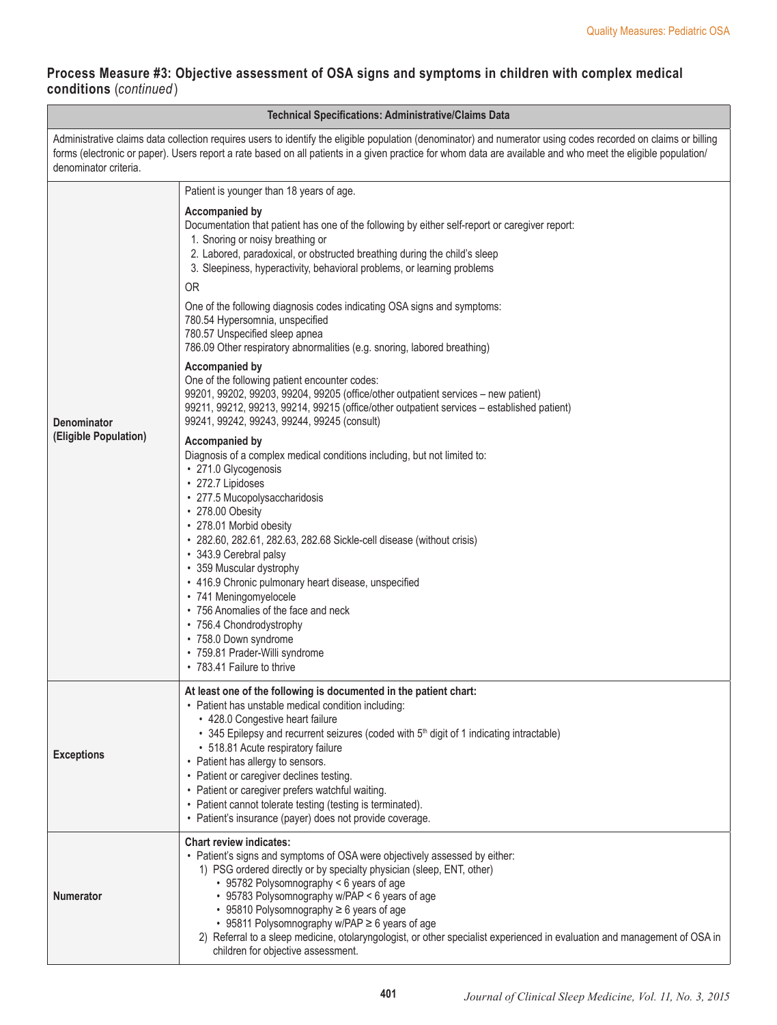## **Process Measure #3: Objective assessment of OSA signs and symptoms in children with complex medical conditions** (*continued* )

 $\Box$ 

| <b>Technical Specifications: Administrative/Claims Data</b>                                                                                                                                                                                                                                                                                             |                                                                                                                                                                                                                                                                                                                                                                                                                                                                                                                                                                                                                                                                                                                                                                                                                                                                                                                                                                                                                                                                                                                                                                                                                                                                                                                                                                                                                                                                                    |
|---------------------------------------------------------------------------------------------------------------------------------------------------------------------------------------------------------------------------------------------------------------------------------------------------------------------------------------------------------|------------------------------------------------------------------------------------------------------------------------------------------------------------------------------------------------------------------------------------------------------------------------------------------------------------------------------------------------------------------------------------------------------------------------------------------------------------------------------------------------------------------------------------------------------------------------------------------------------------------------------------------------------------------------------------------------------------------------------------------------------------------------------------------------------------------------------------------------------------------------------------------------------------------------------------------------------------------------------------------------------------------------------------------------------------------------------------------------------------------------------------------------------------------------------------------------------------------------------------------------------------------------------------------------------------------------------------------------------------------------------------------------------------------------------------------------------------------------------------|
| Administrative claims data collection requires users to identify the eligible population (denominator) and numerator using codes recorded on claims or billing<br>forms (electronic or paper). Users report a rate based on all patients in a given practice for whom data are available and who meet the eligible population/<br>denominator criteria. |                                                                                                                                                                                                                                                                                                                                                                                                                                                                                                                                                                                                                                                                                                                                                                                                                                                                                                                                                                                                                                                                                                                                                                                                                                                                                                                                                                                                                                                                                    |
|                                                                                                                                                                                                                                                                                                                                                         | Patient is younger than 18 years of age.                                                                                                                                                                                                                                                                                                                                                                                                                                                                                                                                                                                                                                                                                                                                                                                                                                                                                                                                                                                                                                                                                                                                                                                                                                                                                                                                                                                                                                           |
| <b>Denominator</b><br>(Eligible Population)                                                                                                                                                                                                                                                                                                             | Accompanied by<br>Documentation that patient has one of the following by either self-report or caregiver report:<br>1. Snoring or noisy breathing or<br>2. Labored, paradoxical, or obstructed breathing during the child's sleep<br>3. Sleepiness, hyperactivity, behavioral problems, or learning problems<br><b>OR</b><br>One of the following diagnosis codes indicating OSA signs and symptoms:<br>780.54 Hypersomnia, unspecified<br>780.57 Unspecified sleep apnea<br>786.09 Other respiratory abnormalities (e.g. snoring, labored breathing)<br><b>Accompanied by</b><br>One of the following patient encounter codes:<br>99201, 99202, 99203, 99204, 99205 (office/other outpatient services - new patient)<br>99211, 99212, 99213, 99214, 99215 (office/other outpatient services - established patient)<br>99241, 99242, 99243, 99244, 99245 (consult)<br><b>Accompanied by</b><br>Diagnosis of a complex medical conditions including, but not limited to:<br>• 271.0 Glycogenosis<br>• 272.7 Lipidoses<br>• 277.5 Mucopolysaccharidosis<br>• 278.00 Obesity<br>• 278.01 Morbid obesity<br>• 282.60, 282.61, 282.63, 282.68 Sickle-cell disease (without crisis)<br>• 343.9 Cerebral palsy<br>• 359 Muscular dystrophy<br>• 416.9 Chronic pulmonary heart disease, unspecified<br>• 741 Meningomyelocele<br>• 756 Anomalies of the face and neck<br>• 756.4 Chondrodystrophy<br>• 758.0 Down syndrome<br>· 759.81 Prader-Willi syndrome<br>• 783.41 Failure to thrive |
| <b>Exceptions</b>                                                                                                                                                                                                                                                                                                                                       | At least one of the following is documented in the patient chart:<br>• Patient has unstable medical condition including:<br>• 428.0 Congestive heart failure<br>• 345 Epilepsy and recurrent seizures (coded with 5 <sup>th</sup> digit of 1 indicating intractable)<br>• 518.81 Acute respiratory failure<br>• Patient has allergy to sensors.<br>• Patient or caregiver declines testing.<br>• Patient or caregiver prefers watchful waiting.<br>• Patient cannot tolerate testing (testing is terminated).<br>• Patient's insurance (payer) does not provide coverage.                                                                                                                                                                                                                                                                                                                                                                                                                                                                                                                                                                                                                                                                                                                                                                                                                                                                                                          |
| <b>Numerator</b>                                                                                                                                                                                                                                                                                                                                        | <b>Chart review indicates:</b><br>• Patient's signs and symptoms of OSA were objectively assessed by either:<br>1) PSG ordered directly or by specialty physician (sleep, ENT, other)<br>• 95782 Polysomnography < 6 years of age<br>• 95783 Polysomnography w/PAP < 6 years of age<br>• 95810 Polysomnography ≥ 6 years of age<br>• 95811 Polysomnography w/PAP ≥ 6 years of age<br>2) Referral to a sleep medicine, otolaryngologist, or other specialist experienced in evaluation and management of OSA in<br>children for objective assessment.                                                                                                                                                                                                                                                                                                                                                                                                                                                                                                                                                                                                                                                                                                                                                                                                                                                                                                                               |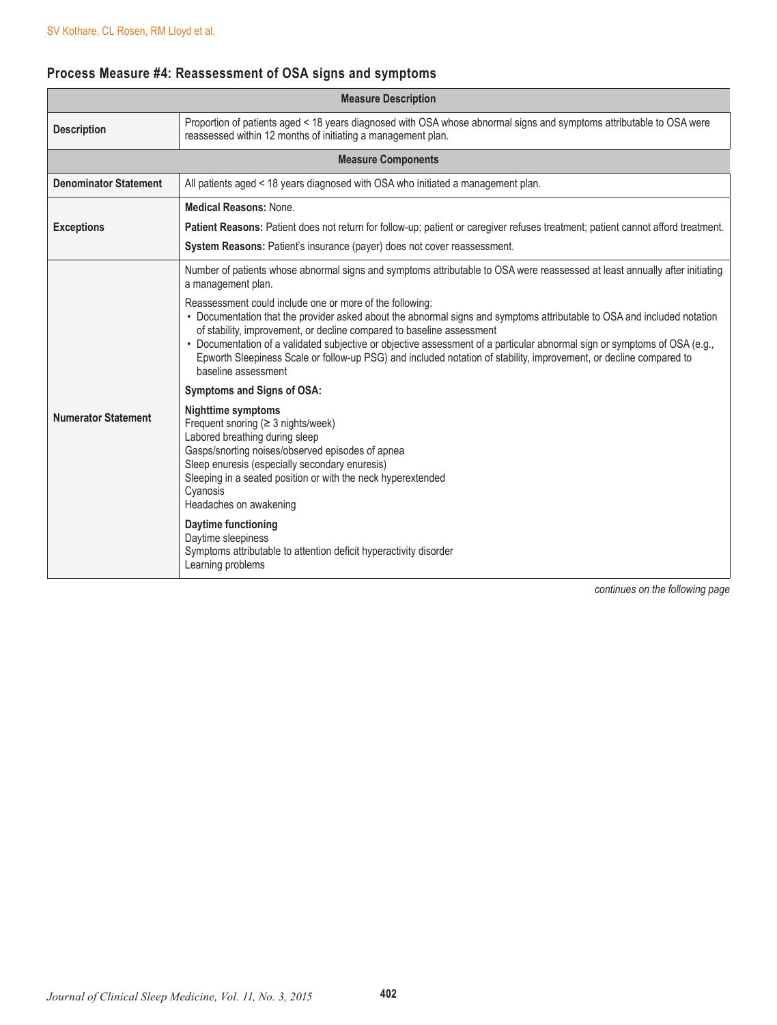# **Process Measure #4: Reassessment of OSA signs and symptoms**

| <b>Measure Description</b>   |                                                                                                                                                                                                                                                                                                                                                                                                                                                                                                                                        |
|------------------------------|----------------------------------------------------------------------------------------------------------------------------------------------------------------------------------------------------------------------------------------------------------------------------------------------------------------------------------------------------------------------------------------------------------------------------------------------------------------------------------------------------------------------------------------|
| <b>Description</b>           | Proportion of patients aged < 18 years diagnosed with OSA whose abnormal signs and symptoms attributable to OSA were<br>reassessed within 12 months of initiating a management plan.                                                                                                                                                                                                                                                                                                                                                   |
|                              | <b>Measure Components</b>                                                                                                                                                                                                                                                                                                                                                                                                                                                                                                              |
| <b>Denominator Statement</b> | All patients aged < 18 years diagnosed with OSA who initiated a management plan.                                                                                                                                                                                                                                                                                                                                                                                                                                                       |
|                              | <b>Medical Reasons: None.</b>                                                                                                                                                                                                                                                                                                                                                                                                                                                                                                          |
| <b>Exceptions</b>            | Patient Reasons: Patient does not return for follow-up; patient or caregiver refuses treatment; patient cannot afford treatment.                                                                                                                                                                                                                                                                                                                                                                                                       |
|                              | System Reasons: Patient's insurance (payer) does not cover reassessment.                                                                                                                                                                                                                                                                                                                                                                                                                                                               |
|                              | Number of patients whose abnormal signs and symptoms attributable to OSA were reassessed at least annually after initiating<br>a management plan.                                                                                                                                                                                                                                                                                                                                                                                      |
|                              | Reassessment could include one or more of the following:<br>• Documentation that the provider asked about the abnormal signs and symptoms attributable to OSA and included notation<br>of stability, improvement, or decline compared to baseline assessment<br>• Documentation of a validated subjective or objective assessment of a particular abnormal sign or symptoms of OSA (e.g.,<br>Epworth Sleepiness Scale or follow-up PSG) and included notation of stability, improvement, or decline compared to<br>baseline assessment |
|                              | <b>Symptoms and Signs of OSA:</b>                                                                                                                                                                                                                                                                                                                                                                                                                                                                                                      |
| <b>Numerator Statement</b>   | <b>Nighttime symptoms</b><br>Frequent snoring $(≥ 3$ nights/week)<br>Labored breathing during sleep<br>Gasps/snorting noises/observed episodes of apnea<br>Sleep enuresis (especially secondary enuresis)<br>Sleeping in a seated position or with the neck hyperextended<br>Cyanosis<br>Headaches on awakening                                                                                                                                                                                                                        |
|                              | Daytime functioning<br>Daytime sleepiness<br>Symptoms attributable to attention deficit hyperactivity disorder<br>Learning problems                                                                                                                                                                                                                                                                                                                                                                                                    |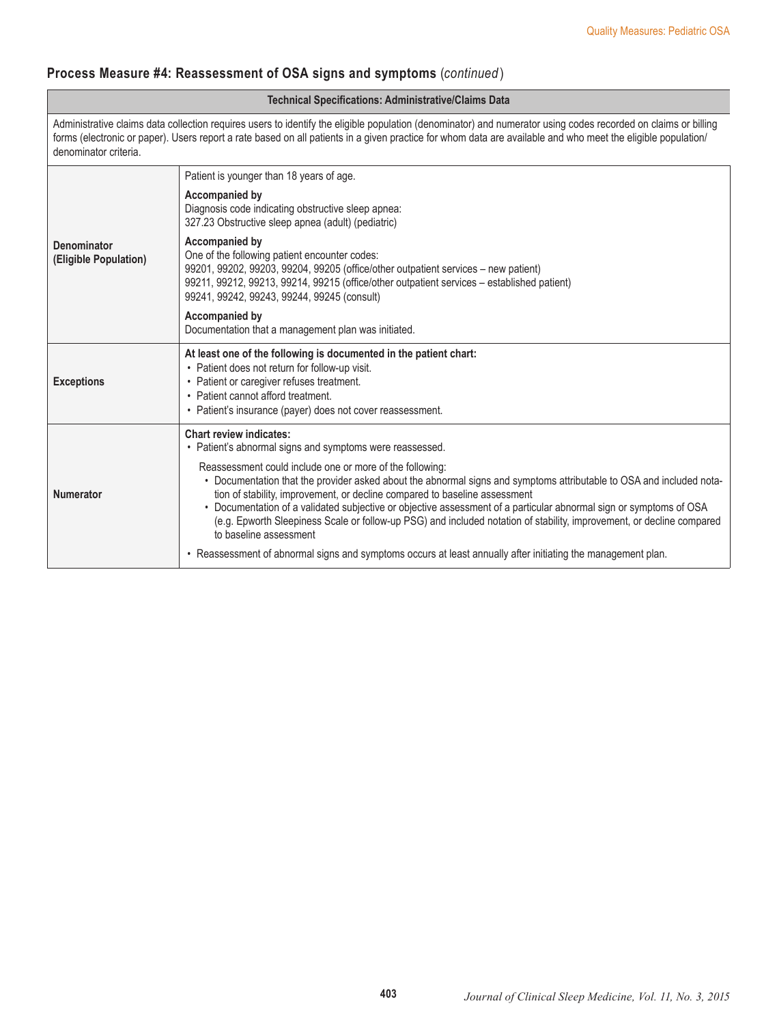## **Process Measure #4: Reassessment of OSA signs and symptoms** (*continued* )

#### **Technical Specifications: Administrative/Claims Data**

Administrative claims data collection requires users to identify the eligible population (denominator) and numerator using codes recorded on claims or billing forms (electronic or paper). Users report a rate based on all patients in a given practice for whom data are available and who meet the eligible population/ denominator criteria.

| <b>Denominator</b><br>(Eligible Population) | Patient is younger than 18 years of age.                                                                                                                                                                                                                                                                                                                                                                                                                                                                                                |
|---------------------------------------------|-----------------------------------------------------------------------------------------------------------------------------------------------------------------------------------------------------------------------------------------------------------------------------------------------------------------------------------------------------------------------------------------------------------------------------------------------------------------------------------------------------------------------------------------|
|                                             | Accompanied by<br>Diagnosis code indicating obstructive sleep apnea:<br>327.23 Obstructive sleep apnea (adult) (pediatric)                                                                                                                                                                                                                                                                                                                                                                                                              |
|                                             | <b>Accompanied by</b><br>One of the following patient encounter codes:<br>99201, 99202, 99203, 99204, 99205 (office/other outpatient services - new patient)<br>99211, 99212, 99213, 99214, 99215 (office/other outpatient services - established patient)<br>99241, 99242, 99243, 99244, 99245 (consult)                                                                                                                                                                                                                               |
|                                             | Accompanied by<br>Documentation that a management plan was initiated.                                                                                                                                                                                                                                                                                                                                                                                                                                                                   |
| <b>Exceptions</b>                           | At least one of the following is documented in the patient chart:<br>• Patient does not return for follow-up visit.<br>• Patient or caregiver refuses treatment.<br>• Patient cannot afford treatment.<br>• Patient's insurance (payer) does not cover reassessment.                                                                                                                                                                                                                                                                    |
| <b>Numerator</b>                            | <b>Chart review indicates:</b><br>• Patient's abnormal signs and symptoms were reassessed.                                                                                                                                                                                                                                                                                                                                                                                                                                              |
|                                             | Reassessment could include one or more of the following:<br>• Documentation that the provider asked about the abnormal signs and symptoms attributable to OSA and included nota-<br>tion of stability, improvement, or decline compared to baseline assessment<br>• Documentation of a validated subjective or objective assessment of a particular abnormal sign or symptoms of OSA<br>(e.g. Epworth Sleepiness Scale or follow-up PSG) and included notation of stability, improvement, or decline compared<br>to baseline assessment |
|                                             | • Reassessment of abnormal signs and symptoms occurs at least annually after initiating the management plan.                                                                                                                                                                                                                                                                                                                                                                                                                            |